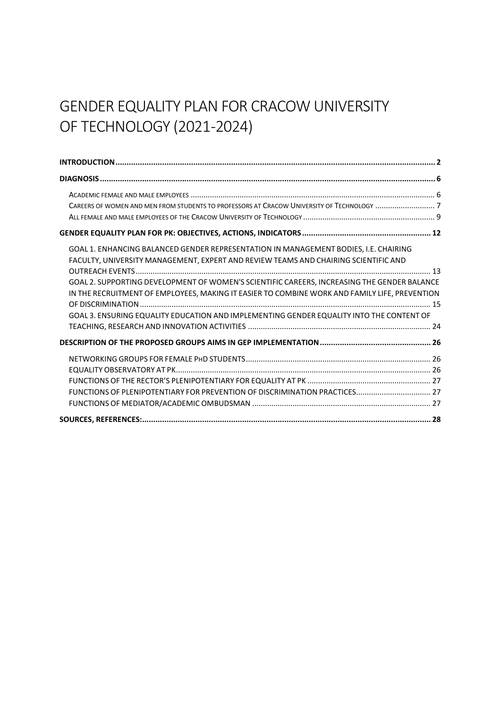# GENDER EQUALITY PLAN FOR CRACOW UNIVERSITY OF TECHNOLOGY (2021-2024)

| GOAL 1. ENHANCING BALANCED GENDER REPRESENTATION IN MANAGEMENT BODIES, I.E. CHAIRING          |  |
|-----------------------------------------------------------------------------------------------|--|
| FACULTY, UNIVERSITY MANAGEMENT, EXPERT AND REVIEW TEAMS AND CHAIRING SCIENTIFIC AND           |  |
|                                                                                               |  |
| GOAL 2. SUPPORTING DEVELOPMENT OF WOMEN'S SCIENTIFIC CAREERS, INCREASING THE GENDER BALANCE   |  |
| IN THE RECRUITMENT OF EMPLOYEES, MAKING IT EASIER TO COMBINE WORK AND FAMILY LIFE, PREVENTION |  |
|                                                                                               |  |
| GOAL 3. ENSURING EQUALITY EDUCATION AND IMPLEMENTING GENDER EQUALITY INTO THE CONTENT OF      |  |
|                                                                                               |  |
|                                                                                               |  |
|                                                                                               |  |
|                                                                                               |  |
|                                                                                               |  |
| FUNCTIONS OF PLENIPOTENTIARY FOR PREVENTION OF DISCRIMINATION PRACTICES 27                    |  |
|                                                                                               |  |
|                                                                                               |  |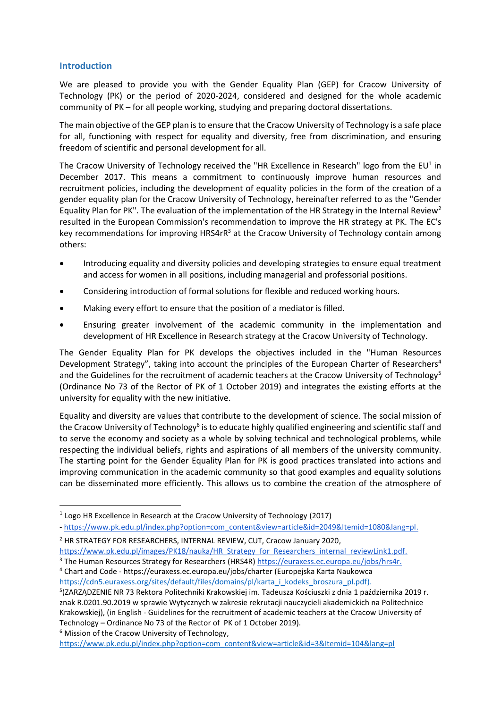#### <span id="page-1-0"></span>**Introduction**

We are pleased to provide you with the Gender Equality Plan (GEP) for Cracow University of Technology (PK) or the period of 2020-2024, considered and designed for the whole academic community of PK – for all people working, studying and preparing doctoral dissertations.

The main objective of the GEP plan is to ensure that the Cracow University of Technology is a safe place for all, functioning with respect for equality and diversity, free from discrimination, and ensuring freedom of scientific and personal development for all.

The Cracow University of Technology received the "HR Excellence in Research" logo from the EU<sup>1</sup> in December 2017. This means a commitment to continuously improve human resources and recruitment policies, including the development of equality policies in the form of the creation of a gender equality plan for the Cracow University of Technology, hereinafter referred to as the "Gender Equality Plan for PK". The evaluation of the implementation of the HR Strategy in the Internal Review<sup>2</sup> resulted in the European Commission's recommendation to improve the HR strategy at PK. The EC's key recommendations for improving HRS4rR<sup>3</sup> at the Cracow University of Technology contain among others:

- Introducing equality and diversity policies and developing strategies to ensure equal treatment and access for women in all positions, including managerial and professorial positions.
- Considering introduction of formal solutions for flexible and reduced working hours.
- Making every effort to ensure that the position of a mediator is filled.
- Ensuring greater involvement of the academic community in the implementation and development of HR Excellence in Research strategy at the Cracow University of Technology.

The Gender Equality Plan for PK develops the objectives included in the "Human Resources Development Strategy", taking into account the principles of the European Charter of Researchers<sup>4</sup> and the Guidelines for the recruitment of academic teachers at the Cracow University of Technology<sup>5</sup> (Ordinance No 73 of the Rector of PK of 1 October 2019) and integrates the existing efforts at the university for equality with the new initiative.

Equality and diversity are values that contribute to the development of science. The social mission of the Cracow University of Technology<sup>6</sup> is to educate highly qualified engineering and scientific staff and to serve the economy and society as a whole by solving technical and technological problems, while respecting the individual beliefs, rights and aspirations of all members of the university community. The starting point for the Gender Equality Plan for PK is good practices translated into actions and improving communication in the academic community so that good examples and equality solutions can be disseminated more efficiently. This allows us to combine the creation of the atmosphere of

<sup>3</sup> The Human Resources Strategy for Researchers (HRS4R) [https://euraxess.ec.europa.eu/jobs/hrs4r.](https://euraxess.ec.europa.eu/jobs/hrs4r) <sup>4</sup> Chart and Code - https://euraxess.ec.europa.eu/jobs/charter (Europejska Karta Naukowca

<sup>6</sup> Mission of the Cracow University of Technology,

[https://www.pk.edu.pl/index.php?option=com\\_content&view=article&id=3&Itemid=104&lang=pl](https://www.pk.edu.pl/index.php?option=com_content&view=article&id=3&Itemid=104&lang=pl)

 $1$  Logo HR Excellence in Research at the Cracow University of Technology (2017)

<sup>-</sup> [https://www.pk.edu.pl/index.php?option=com\\_content&view=article&id=2049&Itemid=1080&lang=pl.](https://www.pk.edu.pl/index.php?option=com_content&view=article&id=2049&Itemid=1080&lang=pl)

<sup>2</sup> HR STRATEGY FOR RESEARCHERS, INTERNAL REVIEW, CUT, Cracow January 2020,

[https://www.pk.edu.pl/images/PK18/nauka/HR\\_Strategy\\_for\\_Researchers\\_internal\\_reviewLink1.pdf.](https://www.pk.edu.pl/images/PK18/nauka/HR_Strategy_for_Researchers_internal_reviewLink1.pdf)

[https://cdn5.euraxess.org/sites/default/files/domains/pl/karta\\_i\\_kodeks\\_broszura\\_pl.pdf\)](https://cdn5.euraxess.org/sites/default/files/domains/pl/karta_i_kodeks_broszura_pl.pdf). 5 (ZARZĄDZENIE NR 73 Rektora Politechniki Krakowskiej im. Tadeusza Kościuszki z dnia 1 października 2019 r. znak R.0201.90.2019 w sprawie Wytycznych w zakresie rekrutacji nauczycieli akademickich na Politechnice Krakowskiej), (in English - Guidelines for the recruitment of academic teachers at the Cracow University of Technology – Ordinance No 73 of the Rector of PK of 1 October 2019).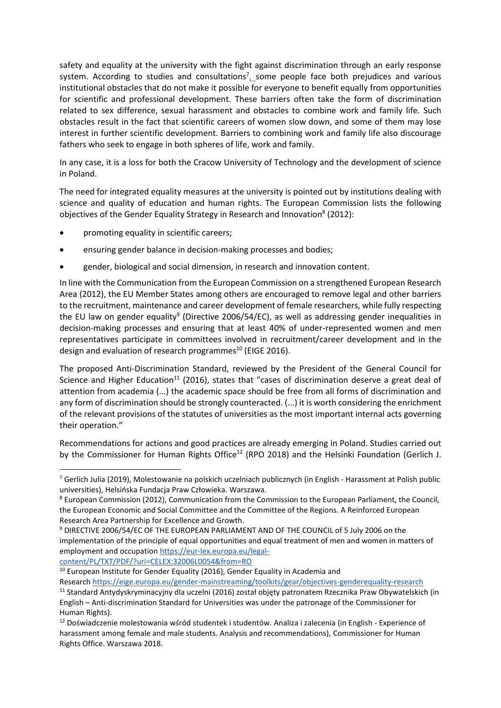safety and equality at the university with the fight against discrimination through an early response system. According to studies and consultations<sup>7</sup> some people face both prejudices and various institutional obstacles that do not make it possible for everyone to benefit equally from opportunities for scientific and professional development. These barriers often take the form of discrimination related to sex difference, sexual harassment and obstacles to combine work and family life. Such obstacles result in the fact that scientific careers of women slow down, and some of them may lose interest in further scientific development. Barriers to combining work and family life also discourage fathers who seek to engage in both spheres of life, work and family.

In any case, it is a loss for both the Cracow University of Technology and the development of science in Poland.

The need for integrated equality measures at the university is pointed out by institutions dealing with science and quality of education and human rights. The European Commission lists the following objectives of the Gender Equality Strategy in Research and Innovation<sup>8</sup> (2012):

- promoting equality in scientific careers;
- ensuring gender balance in decision-making processes and bodies;
- gender, biological and social dimension, in research and innovation content.

In line with the Communication from the European Commission on a strengthened European Research Area (2012), the EU Member States among others are encouraged to remove legal and other barriers to the recruitment, maintenance and career development of female researchers, while fully respecting the EU law on gender equality<sup>9</sup> (Directive 2006/54/EC), as well as addressing gender inequalities in decision-making processes and ensuring that at least 40% of under-represented women and men representatives participate in committees involved in recruitment/career development and in the design and evaluation of research programmes<sup>10</sup> (EIGE 2016).

The proposed Anti-Discrimination Standard, reviewed by the President of the General Council for Science and Higher Education<sup>11</sup> (2016), states that "cases of discrimination deserve a great deal of attention from academia (...) the academic space should be free from all forms of discrimination and any form of discrimination should be strongly counteracted. (...) it is worth considering the enrichment of the relevant provisions of the statutes of universities as the most important internal acts governing their operation."

Recommendations for actions and good practices are already emerging in Poland. Studies carried out by the Commissioner for Human Rights Office<sup>12</sup> (RPO 2018) and the Helsinki Foundation (Gerlich J.

[content/PL/TXT/PDF/?uri=CELEX:32006L0054&from=RO](https://eur-lex.europa.eu/legal-content/PL/TXT/PDF/?uri=CELEX:32006L0054&from=RO)

<sup>10</sup> European Institute for Gender Equality (2016), Gender Equality in Academia and

Research <https://eige.europa.eu/gender-mainstreaming/toolkits/gear/objectives-genderequality-research> <sup>11</sup> Standard Antydyskryminacyjny dla uczelni (2016) został objęty patronatem Rzecznika Praw Obywatelskich (in English – Anti-discrimination Standard for Universities was under the patronage of the Commissioner for Human Rights).

<sup>7</sup> Gerlich Julia (2019), Molestowanie na polskich uczelniach publicznych (in English - Harassment at Polish public universities), Helsińska Fundacja Praw Człowieka. Warszawa.

<sup>8</sup> European Commission (2012), Communication from the Commission to the European Parliament, the Council, the European Economic and Social Committee and the Committee of the Regions. A Reinforced European Research Area Partnership for Excellence and Growth.

<sup>9</sup> DIRECTIVE 2006/54/EC OF THE EUROPEAN PARLIAMENT AND OF THE COUNCIL of 5 July 2006 on the implementation of the principle of equal opportunities and equal treatment of men and women in matters of employment and occupation [https://eur-lex.europa.eu/legal-](https://eur-lex.europa.eu/legal-content/PL/TXT/PDF/?uri=CELEX:32006L0054&from=RO)

<sup>&</sup>lt;sup>12</sup> Doświadczenie molestowania wśród studentek i studentów. Analiza i zalecenia (in English - Experience of harassment among female and male students. Analysis and recommendations), Commissioner for Human Rights Office. Warszawa 2018.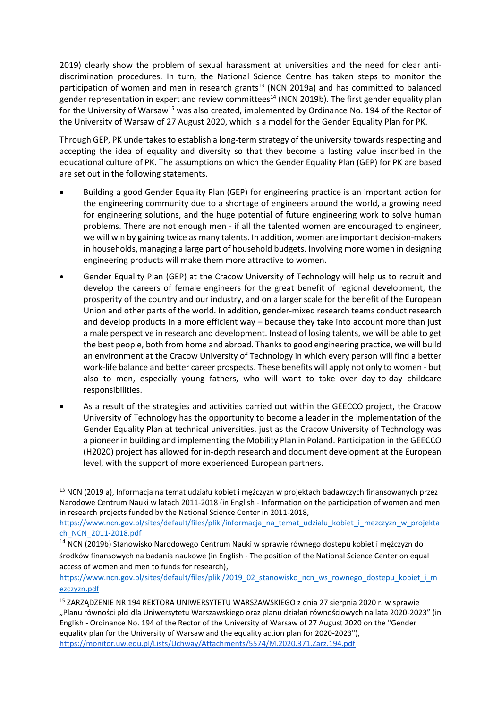2019) clearly show the problem of sexual harassment at universities and the need for clear antidiscrimination procedures. In turn, the National Science Centre has taken steps to monitor the participation of women and men in research grants<sup>13</sup> (NCN 2019a) and has committed to balanced gender representation in expert and review committees<sup>14</sup> (NCN 2019b). The first gender equality plan for the University of Warsaw<sup>15</sup> was also created, implemented by Ordinance No. 194 of the Rector of the University of Warsaw of 27 August 2020, which is a model for the Gender Equality Plan for PK.

Through GEP, PK undertakes to establish a long-term strategy of the university towards respecting and accepting the idea of equality and diversity so that they become a lasting value inscribed in the educational culture of PK. The assumptions on which the Gender Equality Plan (GEP) for PK are based are set out in the following statements.

- Building a good Gender Equality Plan (GEP) for engineering practice is an important action for the engineering community due to a shortage of engineers around the world, a growing need for engineering solutions, and the huge potential of future engineering work to solve human problems. There are not enough men - if all the talented women are encouraged to engineer, we will win by gaining twice as many talents. In addition, women are important decision-makers in households, managing a large part of household budgets. Involving more women in designing engineering products will make them more attractive to women.
- Gender Equality Plan (GEP) at the Cracow University of Technology will help us to recruit and develop the careers of female engineers for the great benefit of regional development, the prosperity of the country and our industry, and on a larger scale for the benefit of the European Union and other parts of the world. In addition, gender-mixed research teams conduct research and develop products in a more efficient way – because they take into account more than just a male perspective in research and development. Instead of losing talents, we will be able to get the best people, both from home and abroad. Thanks to good engineering practice, we will build an environment at the Cracow University of Technology in which every person will find a better work-life balance and better career prospects. These benefits will apply not only to women - but also to men, especially young fathers, who will want to take over day-to-day childcare responsibilities.
- As a result of the strategies and activities carried out within the GEECCO project, the Cracow University of Technology has the opportunity to become a leader in the implementation of the Gender Equality Plan at technical universities, just as the Cracow University of Technology was a pioneer in building and implementing the Mobility Plan in Poland. Participation in the GEECCO (H2020) project has allowed for in-depth research and document development at the European level, with the support of more experienced European partners.

<sup>13</sup> NCN (2019 a), Informacja na temat udziału kobiet i mężczyzn w projektach badawczych finansowanych przez Narodowe Centrum Nauki w latach 2011-2018 (in English - Information on the participation of women and men in research projects funded by the National Science Center in 2011-2018,

[https://www.ncn.gov.pl/sites/default/files/pliki/informacja\\_na\\_temat\\_udzialu\\_kobiet\\_i\\_mezczyzn\\_w\\_projekta](https://www.ncn.gov.pl/sites/default/files/pliki/informacja_na_temat_udzialu_kobiet_i_mezczyzn_w_projektach_NCN_2011-2018.pdf) [ch\\_NCN\\_2011-2018.pdf](https://www.ncn.gov.pl/sites/default/files/pliki/informacja_na_temat_udzialu_kobiet_i_mezczyzn_w_projektach_NCN_2011-2018.pdf)

<sup>&</sup>lt;sup>14</sup> NCN (2019b) Stanowisko Narodowego Centrum Nauki w sprawie równego dostępu kobiet i mężczyzn do środków finansowych na badania naukowe (in English - The position of the National Science Center on equal access of women and men to funds for research),

[https://www.ncn.gov.pl/sites/default/files/pliki/2019\\_02\\_stanowisko\\_ncn\\_ws\\_rownego\\_dostepu\\_kobiet\\_i\\_m](https://www.ncn.gov.pl/sites/default/files/pliki/2019_02_stanowisko_ncn_ws_rownego_dostepu_kobiet_i_mezczyzn.pdf) [ezczyzn.pdf](https://www.ncn.gov.pl/sites/default/files/pliki/2019_02_stanowisko_ncn_ws_rownego_dostepu_kobiet_i_mezczyzn.pdf)

<sup>15</sup> ZARZĄDZENIE NR 194 REKTORA UNIWERSYTETU WARSZAWSKIEGO z dnia 27 sierpnia 2020 r. w sprawie "Planu równości płci dla Uniwersytetu Warszawskiego oraz planu działań równościowych na lata 2020-2023" (in English - Ordinance No. 194 of the Rector of the University of Warsaw of 27 August 2020 on the "Gender equality plan for the University of Warsaw and the equality action plan for 2020-2023"), <https://monitor.uw.edu.pl/Lists/Uchway/Attachments/5574/M.2020.371.Zarz.194.pdf>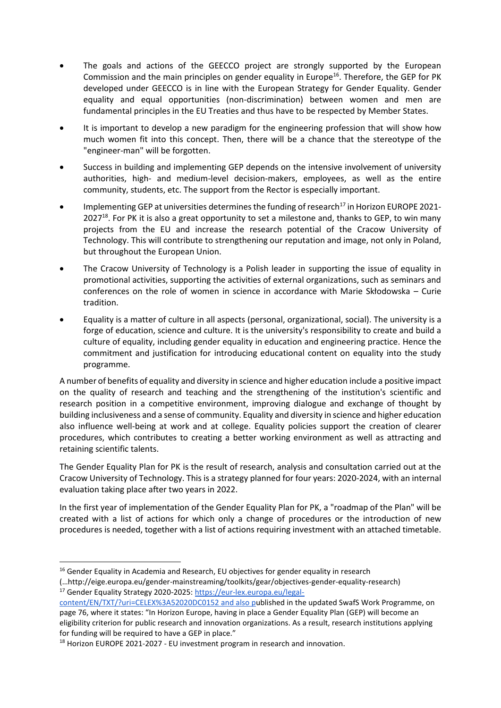- The goals and actions of the GEECCO project are strongly supported by the European Commission and the main principles on gender equality in Europe<sup>16</sup>. Therefore, the GEP for PK developed under GEECCO is in line with the European Strategy for Gender Equality. Gender equality and equal opportunities (non-discrimination) between women and men are fundamental principles in the EU Treaties and thus have to be respected by Member States.
- It is important to develop a new paradigm for the engineering profession that will show how much women fit into this concept. Then, there will be a chance that the stereotype of the "engineer-man" will be forgotten.
- Success in building and implementing GEP depends on the intensive involvement of university authorities, high- and medium-level decision-makers, employees, as well as the entire community, students, etc. The support from the Rector is especially important.
- Implementing GEP at universities determines the funding of research<sup>17</sup> in Horizon EUROPE 2021-2027<sup>18</sup>. For PK it is also a great opportunity to set a milestone and, thanks to GEP, to win many projects from the EU and increase the research potential of the Cracow University of Technology. This will contribute to strengthening our reputation and image, not only in Poland, but throughout the European Union.
- The Cracow University of Technology is a Polish leader in supporting the issue of equality in promotional activities, supporting the activities of external organizations, such as seminars and conferences on the role of women in science in accordance with Marie Skłodowska – Curie tradition.
- Equality is a matter of culture in all aspects (personal, organizational, social). The university is a forge of education, science and culture. It is the university's responsibility to create and build a culture of equality, including gender equality in education and engineering practice. Hence the commitment and justification for introducing educational content on equality into the study programme.

A number of benefits of equality and diversity in science and higher education include a positive impact on the quality of research and teaching and the strengthening of the institution's scientific and research position in a competitive environment, improving dialogue and exchange of thought by building inclusiveness and a sense of community. Equality and diversity in science and higher education also influence well-being at work and at college. Equality policies support the creation of clearer procedures, which contributes to creating a better working environment as well as attracting and retaining scientific talents.

The Gender Equality Plan for PK is the result of research, analysis and consultation carried out at the Cracow University of Technology. This is a strategy planned for four years: 2020-2024, with an internal evaluation taking place after two years in 2022.

In the first year of implementation of the Gender Equality Plan for PK, a "roadmap of the Plan" will be created with a list of actions for which only a change of procedures or the introduction of new procedures is needed, together with a list of actions requiring investment with an attached timetable.

<sup>&</sup>lt;sup>16</sup> Gender Equality in Academia and Research, EU objectives for gender equality in research

<sup>(…</sup>http://eige.europa.eu/gender-mainstreaming/toolkits/gear/objectives-gender-equality-research) <sup>17</sup> Gender Equality Strategy 2020-2025[: https://eur-lex.europa.eu/legal-](https://eur-lex.europa.eu/legal-content/EN/TXT/?uri=CELEX%3A52020DC0152)

[content/EN/TXT/?uri=CELEX%3A52020DC0152](https://eur-lex.europa.eu/legal-content/EN/TXT/?uri=CELEX%3A52020DC0152) and also published in the updated SwafS Work Programme, on page 76, where it states: "In Horizon Europe, having in place a Gender Equality Plan (GEP) will become an eligibility criterion for public research and innovation organizations. As a result, research institutions applying for funding will be required to have a GEP in place."

<sup>&</sup>lt;sup>18</sup> Horizon EUROPE 2021-2027 - EU investment program in research and innovation.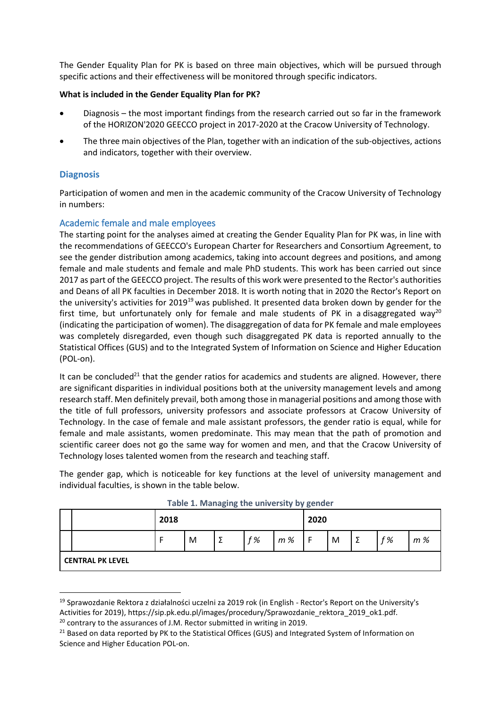The Gender Equality Plan for PK is based on three main objectives, which will be pursued through specific actions and their effectiveness will be monitored through specific indicators.

## **What is included in the Gender Equality Plan for PK?**

- Diagnosis the most important findings from the research carried out so far in the framework of the HORIZON'2020 GEECCO project in 2017-2020 at the Cracow University of Technology.
- The three main objectives of the Plan, together with an indication of the sub-objectives, actions and indicators, together with their overview.

## <span id="page-5-0"></span>**Diagnosis**

Participation of women and men in the academic community of the Cracow University of Technology in numbers:

## <span id="page-5-1"></span>Academic female and male employees

The starting point for the analyses aimed at creating the Gender Equality Plan for PK was, in line with the recommendations of GEECCO's European Charter for Researchers and Consortium Agreement, to see the gender distribution among academics, taking into account degrees and positions, and among female and male students and female and male PhD students. This work has been carried out since 2017 as part of the GEECCO project. The results of this work were presented to the Rector's authorities and Deans of all PK faculties in December 2018. It is worth noting that in 2020 the Rector's Report on the university's activities for 2019<sup>19</sup> was published. It presented data broken down by gender for the first time, but unfortunately only for female and male students of PK in a disaggregated way<sup>20</sup> (indicating the participation of women). The disaggregation of data for PK female and male employees was completely disregarded, even though such disaggregated PK data is reported annually to the Statistical Offices (GUS) and to the Integrated System of Information on Science and Higher Education (POL-on).

It can be concluded<sup>21</sup> that the gender ratios for academics and students are aligned. However, there are significant disparities in individual positions both at the university management levels and among research staff. Men definitely prevail, both among those in managerial positions and among those with the title of full professors, university professors and associate professors at Cracow University of Technology. In the case of female and male assistant professors, the gender ratio is equal, while for female and male assistants, women predominate. This may mean that the path of promotion and scientific career does not go the same way for women and men, and that the Cracow University of Technology loses talented women from the research and teaching staff.

The gender gap, which is noticeable for key functions at the level of university management and individual faculties, is shown in the table below.

|                         | 2018 |   |   |    | 2020 |     |   |   |    |     |
|-------------------------|------|---|---|----|------|-----|---|---|----|-----|
|                         | -    | M | Σ | f% | m%   | . F | M | Σ | f% | m % |
| <b>CENTRAL PK LEVEL</b> |      |   |   |    |      |     |   |   |    |     |

|  | Table 1. Managing the university by gender |  |  |  |  |
|--|--------------------------------------------|--|--|--|--|
|--|--------------------------------------------|--|--|--|--|

<sup>19</sup> Sprawozdanie Rektora z działalności uczelni za 2019 rok (in English - Rector's Report on the University's Activities for 2019), https://sip.pk.edu.pl/images/procedury/Sprawozdanie\_rektora\_2019\_ok1.pdf.

 $20$  contrary to the assurances of J.M. Rector submitted in writing in 2019.

<sup>&</sup>lt;sup>21</sup> Based on data reported by PK to the Statistical Offices (GUS) and Integrated System of Information on Science and Higher Education POL-on.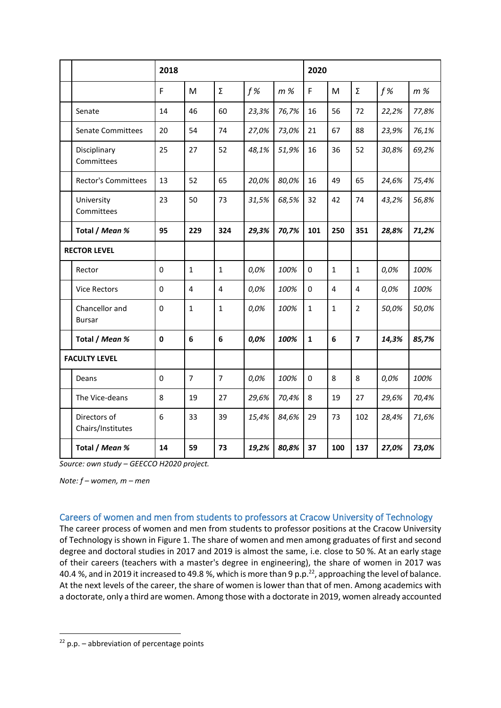|                                   | 2018     |                  |                         |       |       | 2020         |                 |                         |       |       |
|-----------------------------------|----------|------------------|-------------------------|-------|-------|--------------|-----------------|-------------------------|-------|-------|
|                                   | F        | M                | Σ                       | f%    | m%    | F            | M               | Σ                       | f%    | $m$ % |
| Senate                            | 14       | 46               | 60                      | 23,3% | 76,7% | 16           | 56              | 72                      | 22,2% | 77,8% |
| <b>Senate Committees</b>          | 20       | 54               | 74                      | 27,0% | 73,0% | 21           | 67              | 88                      | 23,9% | 76,1% |
| Disciplinary<br>Committees        | 25       | 27               | 52                      | 48,1% | 51,9% | 16           | 36              | 52                      | 30,8% | 69,2% |
| <b>Rector's Committees</b>        | 13       | 52               | 65                      | 20,0% | 80,0% | 16           | 49              | 65                      | 24,6% | 75,4% |
| University<br>Committees          | 23       | 50               | 73                      | 31,5% | 68,5% | 32           | 42              | 74                      | 43,2% | 56,8% |
| Total / Mean %                    | 95       | 229              | 324                     | 29,3% | 70,7% | 101          | 250             | 351                     | 28,8% | 71,2% |
| <b>RECTOR LEVEL</b>               |          |                  |                         |       |       |              |                 |                         |       |       |
| Rector                            | 0        | $\mathbf{1}$     | $\mathbf{1}$            | 0,0%  | 100%  | 0            | $\mathbf{1}$    | $\mathbf{1}$            | 0,0%  | 100%  |
| <b>Vice Rectors</b>               | 0        | $\overline{4}$   | $\overline{\mathbf{4}}$ | 0,0%  | 100%  | 0            | 4               | 4                       | 0,0%  | 100%  |
| Chancellor and<br><b>Bursar</b>   | 0        | $\mathbf{1}$     | $\mathbf{1}$            | 0,0%  | 100%  | $\mathbf{1}$ | $\mathbf{1}$    | $\overline{2}$          | 50,0% | 50,0% |
| Total / Mean %                    | 0        | $\boldsymbol{6}$ | 6                       | 0,0%  | 100%  | $\mathbf{1}$ | $6\phantom{1}6$ | $\overline{\mathbf{z}}$ | 14,3% | 85,7% |
| <b>FACULTY LEVEL</b>              |          |                  |                         |       |       |              |                 |                         |       |       |
| Deans                             | $\Omega$ | $\overline{7}$   | $\overline{7}$          | 0,0%  | 100%  | $\Omega$     | 8               | 8                       | 0,0%  | 100%  |
| The Vice-deans                    | 8        | 19               | 27                      | 29,6% | 70,4% | 8            | 19              | 27                      | 29,6% | 70,4% |
| Directors of<br>Chairs/Institutes | 6        | 33               | 39                      | 15,4% | 84,6% | 29           | 73              | 102                     | 28,4% | 71,6% |
| Total / Mean %                    | 14       | 59               | 73                      | 19,2% | 80,8% | 37           | 100             | 137                     | 27,0% | 73,0% |

*Source: own study – GEECCO H2020 project.*

*Note: f – women, m – men*

## <span id="page-6-0"></span>Careers of women and men from students to professors at Cracow University of Technology

The career process of women and men from students to professor positions at the Cracow University of Technology is shown in Figure 1. The share of women and men among graduates of first and second degree and doctoral studies in 2017 and 2019 is almost the same, i.e. close to 50 %. At an early stage of their careers (teachers with a master's degree in engineering), the share of women in 2017 was 40.4 %, and in 2019 it increased to 49.8 %, which is more than 9 p.p.<sup>22</sup>, approaching the level of balance. At the next levels of the career, the share of women is lower than that of men. Among academics with a doctorate, only a third are women. Among those with a doctorate in 2019, women already accounted

 $22$  p.p. – abbreviation of percentage points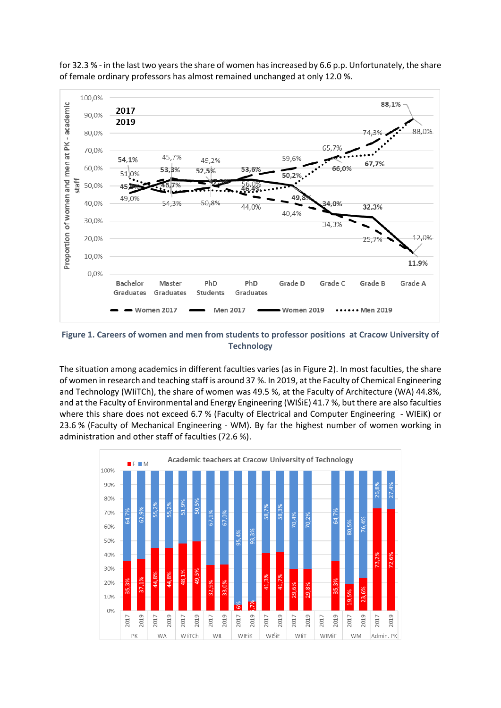

for 32.3 % - in the last two years the share of women has increased by 6.6 p.p. Unfortunately, the share of female ordinary professors has almost remained unchanged at only 12.0 %.

**Figure 1. Careers of women and men from students to professor positions at Cracow University of Technology**

The situation among academics in different faculties varies (as in Figure 2). In most faculties, the share of women in research and teaching staff is around 37 %. In 2019, at the Faculty of Chemical Engineering and Technology (WIiTCh), the share of women was 49.5 %, at the Faculty of Architecture (WA) 44.8%, and at the Faculty of Environmental and Energy Engineering (WIŚiE) 41.7 %, but there are also faculties where this share does not exceed 6.7 % (Faculty of Electrical and Computer Engineering - WIEiK) or 23.6 % (Faculty of Mechanical Engineering - WM). By far the highest number of women working in administration and other staff of faculties (72.6 %).

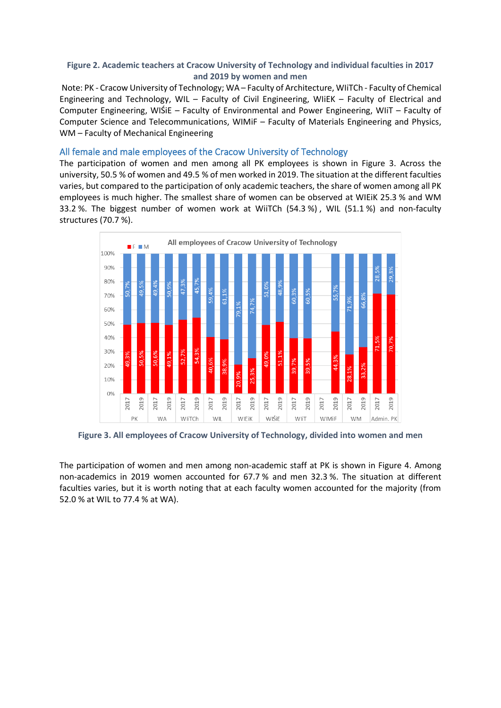## **Figure 2. Academic teachers at Cracow University of Technology and individual faculties in 2017 and 2019 by women and men**

Note: PK - Cracow University of Technology; WA – Faculty of Architecture, WIiTCh - Faculty of Chemical Engineering and Technology, WIL – Faculty of Civil Engineering, WIiEK – Faculty of Electrical and Computer Engineering, WIŚiE – Faculty of Environmental and Power Engineering, WIiT – Faculty of Computer Science and Telecommunications, WIMiF – Faculty of Materials Engineering and Physics, WM – Faculty of Mechanical Engineering

## <span id="page-8-0"></span>All female and male employees of the Cracow University of Technology

The participation of women and men among all PK employees is shown in Figure 3. Across the university, 50.5 % of women and 49.5 % of men worked in 2019. The situation at the different faculties varies, but compared to the participation of only academic teachers, the share of women among all PK employees is much higher. The smallest share of women can be observed at WIEiK 25.3 % and WM 33.2 %. The biggest number of women work at WiiTCh (54.3 %) , WIL (51.1 %) and non-faculty structures (70.7 %).



**Figure 3. All employees of Cracow University of Technology, divided into women and men** 

The participation of women and men among non-academic staff at PK is shown in Figure 4. Among non-academics in 2019 women accounted for 67.7 % and men 32.3 %. The situation at different faculties varies, but it is worth noting that at each faculty women accounted for the majority (from 52.0 % at WIL to 77.4 % at WA).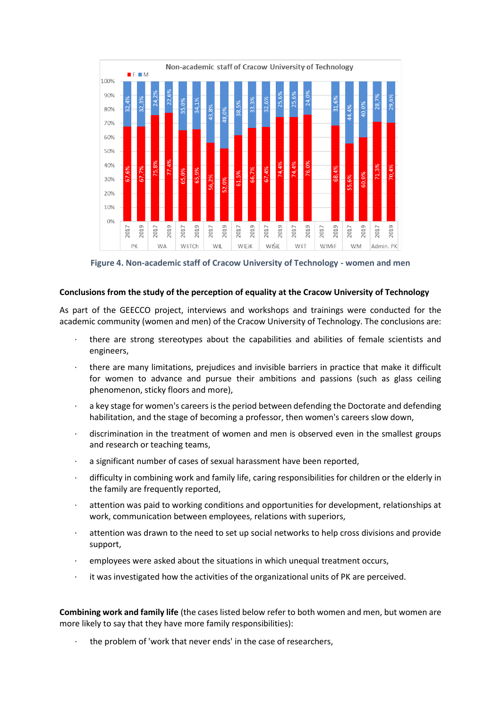

**Figure 4. Non-academic staff of Cracow University of Technology - women and men** 

#### **Conclusions from the study of the perception of equality at the Cracow University of Technology**

As part of the GEECCO project, interviews and workshops and trainings were conducted for the academic community (women and men) of the Cracow University of Technology. The conclusions are:

- · there are strong stereotypes about the capabilities and abilities of female scientists and engineers,
- · there are many limitations, prejudices and invisible barriers in practice that make it difficult for women to advance and pursue their ambitions and passions (such as glass ceiling phenomenon, sticky floors and more),
- a key stage for women's careers is the period between defending the Doctorate and defending habilitation, and the stage of becoming a professor, then women's careers slow down,
- discrimination in the treatment of women and men is observed even in the smallest groups and research or teaching teams,
- a significant number of cases of sexual harassment have been reported,
- · difficulty in combining work and family life, caring responsibilities for children or the elderly in the family are frequently reported,
- attention was paid to working conditions and opportunities for development, relationships at work, communication between employees, relations with superiors,
- attention was drawn to the need to set up social networks to help cross divisions and provide support,
- · employees were asked about the situations in which unequal treatment occurs,
- it was investigated how the activities of the organizational units of PK are perceived.

**Combining work and family life** (the cases listed below refer to both women and men, but women are more likely to say that they have more family responsibilities):

the problem of 'work that never ends' in the case of researchers,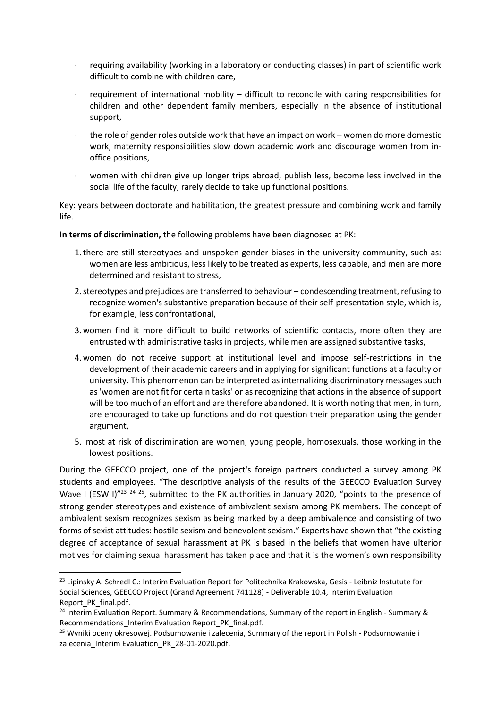- · requiring availability (working in a laboratory or conducting classes) in part of scientific work difficult to combine with children care,
- · requirement of international mobility difficult to reconcile with caring responsibilities for children and other dependent family members, especially in the absence of institutional support,
- · the role of gender roles outside work that have an impact on work women do more domestic work, maternity responsibilities slow down academic work and discourage women from inoffice positions,
- women with children give up longer trips abroad, publish less, become less involved in the social life of the faculty, rarely decide to take up functional positions.

Key: years between doctorate and habilitation, the greatest pressure and combining work and family life.

**In terms of discrimination,** the following problems have been diagnosed at PK:

- 1.there are still stereotypes and unspoken gender biases in the university community, such as: women are less ambitious, less likely to be treated as experts, less capable, and men are more determined and resistant to stress,
- 2.stereotypes and prejudices are transferred to behaviour condescending treatment, refusing to recognize women's substantive preparation because of their self-presentation style, which is, for example, less confrontational,
- 3.women find it more difficult to build networks of scientific contacts, more often they are entrusted with administrative tasks in projects, while men are assigned substantive tasks,
- 4.women do not receive support at institutional level and impose self-restrictions in the development of their academic careers and in applying for significant functions at a faculty or university. This phenomenon can be interpreted as internalizing discriminatory messages such as 'women are not fit for certain tasks' or as recognizing that actions in the absence of support will be too much of an effort and are therefore abandoned. It is worth noting that men, in turn, are encouraged to take up functions and do not question their preparation using the gender argument,
- 5. most at risk of discrimination are women, young people, homosexuals, those working in the lowest positions.

During the GEECCO project, one of the project's foreign partners conducted a survey among PK students and employees. "The descriptive analysis of the results of the GEECCO Evaluation Survey Wave I (ESW I)"<sup>23 24 25</sup>, submitted to the PK authorities in January 2020, "points to the presence of strong gender stereotypes and existence of ambivalent sexism among PK members. The concept of ambivalent sexism recognizes sexism as being marked by a deep ambivalence and consisting of two forms of sexist attitudes: hostile sexism and benevolent sexism." Experts have shown that "the existing degree of acceptance of sexual harassment at PK is based in the beliefs that women have ulterior motives for claiming sexual harassment has taken place and that it is the women's own responsibility

<sup>&</sup>lt;sup>23</sup> Lipinsky A. Schredl C.: Interim Evaluation Report for Politechnika Krakowska, Gesis - Leibniz Instutute for Social Sciences, GEECCO Project (Grand Agreement 741128) - Deliverable 10.4, Interim Evaluation Report\_PK\_final.pdf.

<sup>&</sup>lt;sup>24</sup> Interim Evaluation Report. Summary & Recommendations, Summary of the report in English - Summary & Recommendations Interim Evaluation Report PK final.pdf.

<sup>&</sup>lt;sup>25</sup> Wyniki oceny okresowej. Podsumowanie i zalecenia, Summary of the report in Polish - Podsumowanie i zalecenia\_Interim Evaluation\_PK\_28-01-2020.pdf.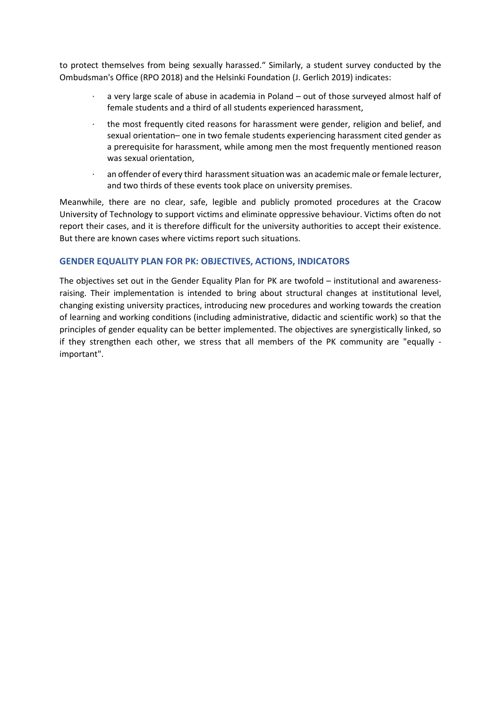to protect themselves from being sexually harassed." Similarly, a student survey conducted by the Ombudsman's Office (RPO 2018) and the Helsinki Foundation (J. Gerlich 2019) indicates:

- a very large scale of abuse in academia in Poland out of those surveyed almost half of female students and a third of all students experienced harassment,
- the most frequently cited reasons for harassment were gender, religion and belief, and sexual orientation– one in two female students experiencing harassment cited gender as a prerequisite for harassment, while among men the most frequently mentioned reason was sexual orientation,
- · an offender of every third harassment situation was an academic male or female lecturer, and two thirds of these events took place on university premises.

Meanwhile, there are no clear, safe, legible and publicly promoted procedures at the Cracow University of Technology to support victims and eliminate oppressive behaviour. Victims often do not report their cases, and it is therefore difficult for the university authorities to accept their existence. But there are known cases where victims report such situations.

## <span id="page-11-0"></span>**GENDER EQUALITY PLAN FOR PK: OBJECTIVES, ACTIONS, INDICATORS**

The objectives set out in the Gender Equality Plan for PK are twofold – institutional and awarenessraising. Their implementation is intended to bring about structural changes at institutional level, changing existing university practices, introducing new procedures and working towards the creation of learning and working conditions (including administrative, didactic and scientific work) so that the principles of gender equality can be better implemented. The objectives are synergistically linked, so if they strengthen each other, we stress that all members of the PK community are "equally important".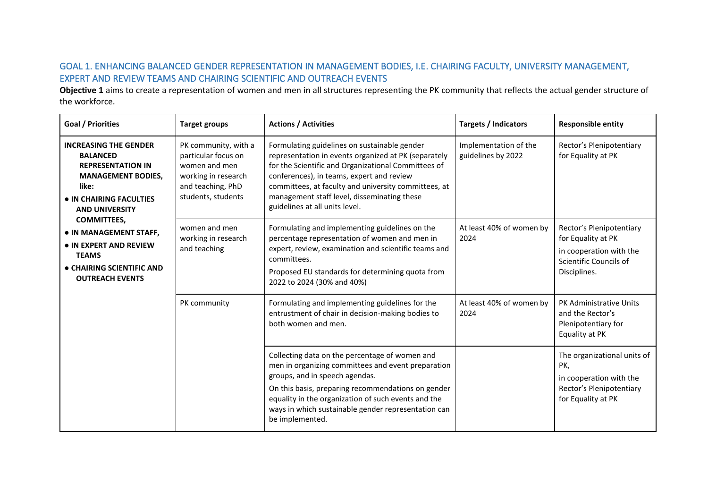# GOAL 1. ENHANCING BALANCED GENDER REPRESENTATION IN MANAGEMENT BODIES, I.E. CHAIRING FACULTY, UNIVERSITY MANAGEMENT, EXPERT AND REVIEW TEAMS AND CHAIRING SCIENTIFIC AND OUTREACH EVENTS

**Objective 1** aims to create a representation of women and men in all structures representing the PK community that reflects the actual gender structure of the workforce.

<span id="page-12-0"></span>

| <b>Goal / Priorities</b>                                                                                                                                                                    | <b>Target groups</b>                                                                                                           | <b>Actions / Activities</b>                                                                                                                                                                                                                                                                                                                       | <b>Targets / Indicators</b>                 | <b>Responsible entity</b>                                                                                           |
|---------------------------------------------------------------------------------------------------------------------------------------------------------------------------------------------|--------------------------------------------------------------------------------------------------------------------------------|---------------------------------------------------------------------------------------------------------------------------------------------------------------------------------------------------------------------------------------------------------------------------------------------------------------------------------------------------|---------------------------------------------|---------------------------------------------------------------------------------------------------------------------|
| <b>INCREASING THE GENDER</b><br><b>BALANCED</b><br><b>REPRESENTATION IN</b><br><b>MANAGEMENT BODIES,</b><br>like:<br>• IN CHAIRING FACULTIES<br><b>AND UNIVERSITY</b><br><b>COMMITTEES,</b> | PK community, with a<br>particular focus on<br>women and men<br>working in research<br>and teaching, PhD<br>students, students | Formulating guidelines on sustainable gender<br>representation in events organized at PK (separately<br>for the Scientific and Organizational Committees of<br>conferences), in teams, expert and review<br>committees, at faculty and university committees, at<br>management staff level, disseminating these<br>guidelines at all units level. | Implementation of the<br>guidelines by 2022 | Rector's Plenipotentiary<br>for Equality at PK                                                                      |
| • IN MANAGEMENT STAFF,<br>• IN EXPERT AND REVIEW<br><b>TEAMS</b><br>• CHAIRING SCIENTIFIC AND<br><b>OUTREACH EVENTS</b>                                                                     | women and men<br>working in research<br>and teaching                                                                           | Formulating and implementing guidelines on the<br>percentage representation of women and men in<br>expert, review, examination and scientific teams and<br>committees.<br>Proposed EU standards for determining quota from<br>2022 to 2024 (30% and 40%)                                                                                          | At least 40% of women by<br>2024            | Rector's Plenipotentiary<br>for Equality at PK<br>in cooperation with the<br>Scientific Councils of<br>Disciplines. |
|                                                                                                                                                                                             | PK community                                                                                                                   | Formulating and implementing guidelines for the<br>entrustment of chair in decision-making bodies to<br>both women and men.                                                                                                                                                                                                                       | At least 40% of women by<br>2024            | PK Administrative Units<br>and the Rector's<br>Plenipotentiary for<br>Equality at PK                                |
|                                                                                                                                                                                             |                                                                                                                                | Collecting data on the percentage of women and<br>men in organizing committees and event preparation<br>groups, and in speech agendas.<br>On this basis, preparing recommendations on gender<br>equality in the organization of such events and the<br>ways in which sustainable gender representation can<br>be implemented.                     |                                             | The organizational units of<br>PK,<br>in cooperation with the<br>Rector's Plenipotentiary<br>for Equality at PK     |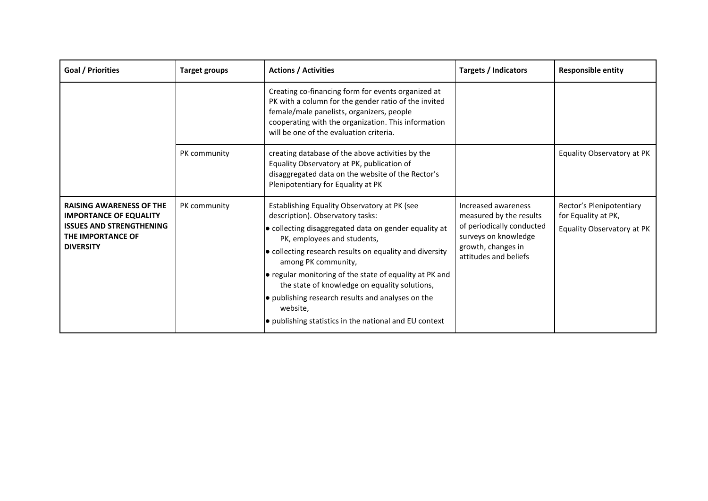| Goal / Priorities                                                                                                                            | <b>Target groups</b> | <b>Actions / Activities</b>                                                                                                                                                                                                                                                                                                                                                                                                                                                                       | Targets / Indicators                                                                                                                               | <b>Responsible entity</b>                                                     |
|----------------------------------------------------------------------------------------------------------------------------------------------|----------------------|---------------------------------------------------------------------------------------------------------------------------------------------------------------------------------------------------------------------------------------------------------------------------------------------------------------------------------------------------------------------------------------------------------------------------------------------------------------------------------------------------|----------------------------------------------------------------------------------------------------------------------------------------------------|-------------------------------------------------------------------------------|
|                                                                                                                                              |                      | Creating co-financing form for events organized at<br>PK with a column for the gender ratio of the invited<br>female/male panelists, organizers, people<br>cooperating with the organization. This information<br>will be one of the evaluation criteria.                                                                                                                                                                                                                                         |                                                                                                                                                    |                                                                               |
|                                                                                                                                              | PK community         | creating database of the above activities by the<br>Equality Observatory at PK, publication of<br>disaggregated data on the website of the Rector's<br>Plenipotentiary for Equality at PK                                                                                                                                                                                                                                                                                                         |                                                                                                                                                    | Equality Observatory at PK                                                    |
| <b>RAISING AWARENESS OF THE</b><br><b>IMPORTANCE OF EQUALITY</b><br><b>ISSUES AND STRENGTHENING</b><br>THE IMPORTANCE OF<br><b>DIVERSITY</b> | PK community         | Establishing Equality Observatory at PK (see<br>description). Observatory tasks:<br>· collecting disaggregated data on gender equality at<br>PK, employees and students,<br>• collecting research results on equality and diversity<br>among PK community,<br>● regular monitoring of the state of equality at PK and<br>the state of knowledge on equality solutions,<br>• publishing research results and analyses on the<br>website,<br>• publishing statistics in the national and EU context | Increased awareness<br>measured by the results<br>of periodically conducted<br>surveys on knowledge<br>growth, changes in<br>attitudes and beliefs | Rector's Plenipotentiary<br>for Equality at PK,<br>Equality Observatory at PK |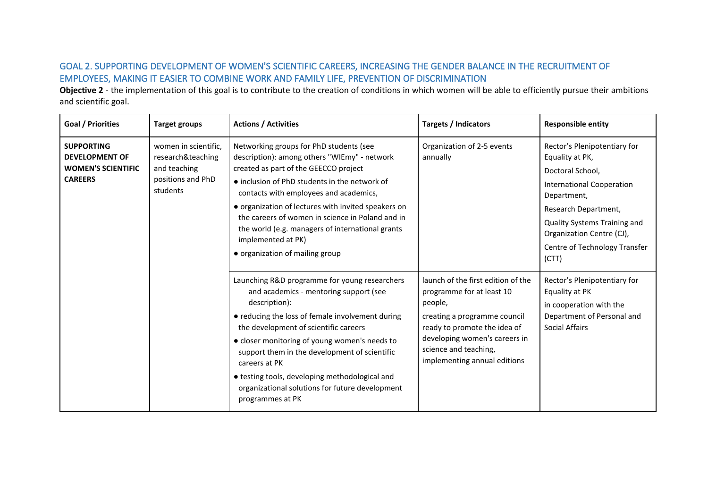# GOAL 2. SUPPORTING DEVELOPMENT OF WOMEN'S SCIENTIFIC CAREERS, INCREASING THE GENDER BALANCE IN THE RECRUITMENT OF EMPLOYEES, MAKING IT EASIER TO COMBINE WORK AND FAMILY LIFE, PREVENTION OF DISCRIMINATION

**Objective 2** - the implementation of this goal is to contribute to the creation of conditions in which women will be able to efficiently pursue their ambitions and scientific goal.

<span id="page-14-0"></span>

| <b>Goal / Priorities</b>                                                                  | <b>Target groups</b>                                                                       | <b>Actions / Activities</b>                                                                                                                                                                                                                                                                                                                                                                                                                         | <b>Targets / Indicators</b>                                                                                                                                                                                                          | <b>Responsible entity</b>                                                                                                                                                                                                                             |
|-------------------------------------------------------------------------------------------|--------------------------------------------------------------------------------------------|-----------------------------------------------------------------------------------------------------------------------------------------------------------------------------------------------------------------------------------------------------------------------------------------------------------------------------------------------------------------------------------------------------------------------------------------------------|--------------------------------------------------------------------------------------------------------------------------------------------------------------------------------------------------------------------------------------|-------------------------------------------------------------------------------------------------------------------------------------------------------------------------------------------------------------------------------------------------------|
| <b>SUPPORTING</b><br><b>DEVELOPMENT OF</b><br><b>WOMEN'S SCIENTIFIC</b><br><b>CAREERS</b> | women in scientific.<br>research&teaching<br>and teaching<br>positions and PhD<br>students | Networking groups for PhD students (see<br>description): among others "WIEmy" - network<br>created as part of the GEECCO project<br>• inclusion of PhD students in the network of<br>contacts with employees and academics,<br>• organization of lectures with invited speakers on<br>the careers of women in science in Poland and in<br>the world (e.g. managers of international grants<br>implemented at PK)<br>• organization of mailing group | Organization of 2-5 events<br>annually                                                                                                                                                                                               | Rector's Plenipotentiary for<br>Equality at PK,<br>Doctoral School,<br><b>International Cooperation</b><br>Department,<br>Research Department,<br>Quality Systems Training and<br>Organization Centre (CJ),<br>Centre of Technology Transfer<br>(CTT) |
|                                                                                           |                                                                                            | Launching R&D programme for young researchers<br>and academics - mentoring support (see<br>description):<br>• reducing the loss of female involvement during<br>the development of scientific careers<br>· closer monitoring of young women's needs to<br>support them in the development of scientific<br>careers at PK<br>· testing tools, developing methodological and<br>organizational solutions for future development<br>programmes at PK   | launch of the first edition of the<br>programme for at least 10<br>people,<br>creating a programme council<br>ready to promote the idea of<br>developing women's careers in<br>science and teaching,<br>implementing annual editions | Rector's Plenipotentiary for<br>Equality at PK<br>in cooperation with the<br>Department of Personal and<br>Social Affairs                                                                                                                             |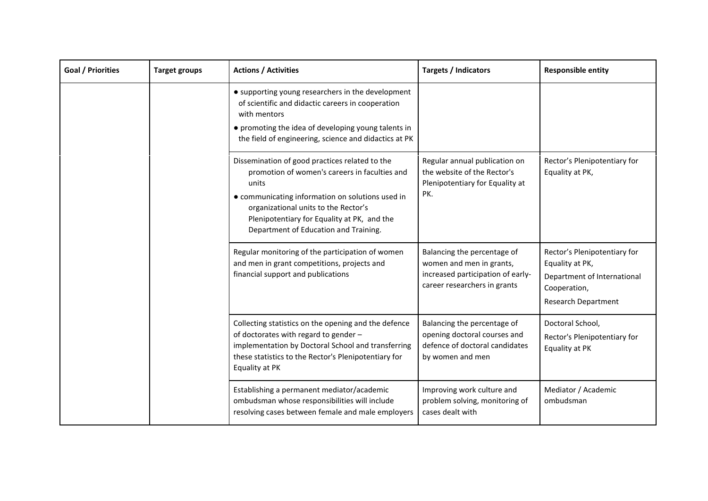| Goal / Priorities | <b>Target groups</b> | <b>Actions / Activities</b>                                                                                                                                                                                                                                                                  | Targets / Indicators                                                                                                         | <b>Responsible entity</b>                                                                                                    |
|-------------------|----------------------|----------------------------------------------------------------------------------------------------------------------------------------------------------------------------------------------------------------------------------------------------------------------------------------------|------------------------------------------------------------------------------------------------------------------------------|------------------------------------------------------------------------------------------------------------------------------|
|                   |                      | • supporting young researchers in the development<br>of scientific and didactic careers in cooperation<br>with mentors<br>• promoting the idea of developing young talents in<br>the field of engineering, science and didactics at PK                                                       |                                                                                                                              |                                                                                                                              |
|                   |                      | Dissemination of good practices related to the<br>promotion of women's careers in faculties and<br>units<br>• communicating information on solutions used in<br>organizational units to the Rector's<br>Plenipotentiary for Equality at PK, and the<br>Department of Education and Training. | Regular annual publication on<br>the website of the Rector's<br>Plenipotentiary for Equality at<br>PK.                       | Rector's Plenipotentiary for<br>Equality at PK,                                                                              |
|                   |                      | Regular monitoring of the participation of women<br>and men in grant competitions, projects and<br>financial support and publications                                                                                                                                                        | Balancing the percentage of<br>women and men in grants,<br>increased participation of early-<br>career researchers in grants | Rector's Plenipotentiary for<br>Equality at PK,<br>Department of International<br>Cooperation,<br><b>Research Department</b> |
|                   |                      | Collecting statistics on the opening and the defence<br>of doctorates with regard to gender -<br>implementation by Doctoral School and transferring<br>these statistics to the Rector's Plenipotentiary for<br>Equality at PK                                                                | Balancing the percentage of<br>opening doctoral courses and<br>defence of doctoral candidates<br>by women and men            | Doctoral School,<br>Rector's Plenipotentiary for<br>Equality at PK                                                           |
|                   |                      | Establishing a permanent mediator/academic<br>ombudsman whose responsibilities will include<br>resolving cases between female and male employers                                                                                                                                             | Improving work culture and<br>problem solving, monitoring of<br>cases dealt with                                             | Mediator / Academic<br>ombudsman                                                                                             |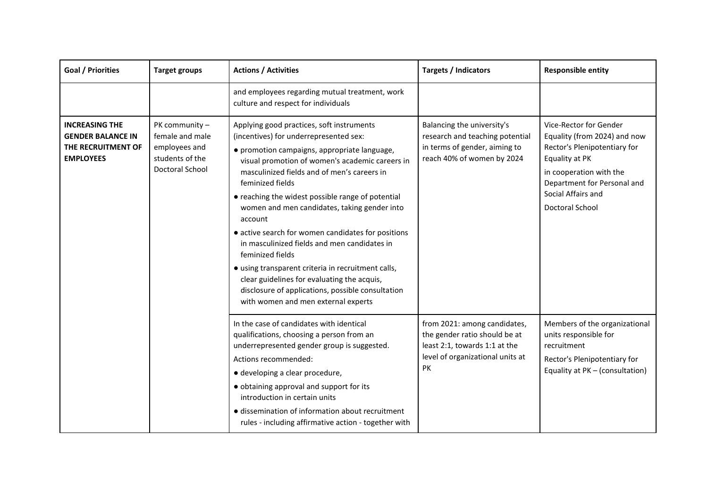| <b>Goal / Priorities</b>                                                                    | <b>Target groups</b>                                                                     | <b>Actions / Activities</b>                                                                                                                                                                                                                                                                                                                                                                                                                                                                                                                                                                                                                                                                          | <b>Targets / Indicators</b>                                                                                                              | <b>Responsible entity</b>                                                                                                                                                                                          |
|---------------------------------------------------------------------------------------------|------------------------------------------------------------------------------------------|------------------------------------------------------------------------------------------------------------------------------------------------------------------------------------------------------------------------------------------------------------------------------------------------------------------------------------------------------------------------------------------------------------------------------------------------------------------------------------------------------------------------------------------------------------------------------------------------------------------------------------------------------------------------------------------------------|------------------------------------------------------------------------------------------------------------------------------------------|--------------------------------------------------------------------------------------------------------------------------------------------------------------------------------------------------------------------|
|                                                                                             |                                                                                          | and employees regarding mutual treatment, work<br>culture and respect for individuals                                                                                                                                                                                                                                                                                                                                                                                                                                                                                                                                                                                                                |                                                                                                                                          |                                                                                                                                                                                                                    |
| <b>INCREASING THE</b><br><b>GENDER BALANCE IN</b><br>THE RECRUITMENT OF<br><b>EMPLOYEES</b> | PK community -<br>female and male<br>employees and<br>students of the<br>Doctoral School | Applying good practices, soft instruments<br>(incentives) for underrepresented sex:<br>· promotion campaigns, appropriate language,<br>visual promotion of women's academic careers in<br>masculinized fields and of men's careers in<br>feminized fields<br>• reaching the widest possible range of potential<br>women and men candidates, taking gender into<br>account<br>• active search for women candidates for positions<br>in masculinized fields and men candidates in<br>feminized fields<br>· using transparent criteria in recruitment calls,<br>clear guidelines for evaluating the acquis,<br>disclosure of applications, possible consultation<br>with women and men external experts | Balancing the university's<br>research and teaching potential<br>in terms of gender, aiming to<br>reach 40% of women by 2024             | Vice-Rector for Gender<br>Equality (from 2024) and now<br>Rector's Plenipotentiary for<br>Equality at PK<br>in cooperation with the<br>Department for Personal and<br>Social Affairs and<br><b>Doctoral School</b> |
|                                                                                             |                                                                                          | In the case of candidates with identical<br>qualifications, choosing a person from an<br>underrepresented gender group is suggested.<br>Actions recommended:<br>· developing a clear procedure,<br>· obtaining approval and support for its<br>introduction in certain units<br>· dissemination of information about recruitment<br>rules - including affirmative action - together with                                                                                                                                                                                                                                                                                                             | from 2021: among candidates,<br>the gender ratio should be at<br>least 2:1, towards 1:1 at the<br>level of organizational units at<br>PK | Members of the organizational<br>units responsible for<br>recruitment<br>Rector's Plenipotentiary for<br>Equality at PK - (consultation)                                                                           |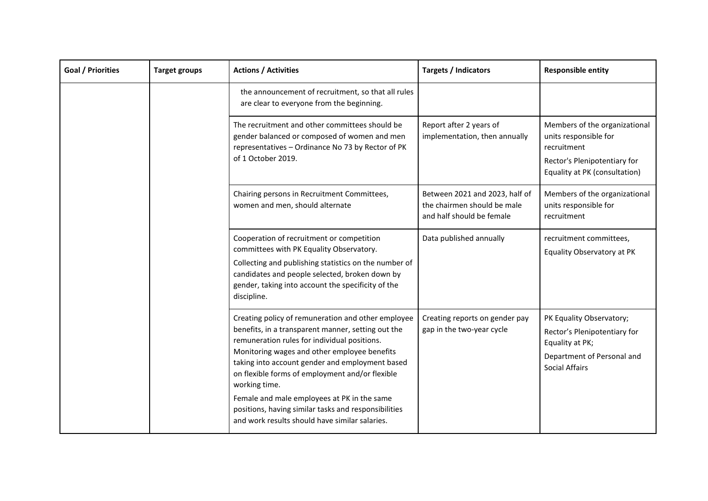| <b>Goal / Priorities</b> | <b>Target groups</b> | <b>Actions / Activities</b>                                                                                                                                                                                                                                                                                                     | <b>Targets / Indicators</b>                                                                | <b>Responsible entity</b>                                                                                                              |
|--------------------------|----------------------|---------------------------------------------------------------------------------------------------------------------------------------------------------------------------------------------------------------------------------------------------------------------------------------------------------------------------------|--------------------------------------------------------------------------------------------|----------------------------------------------------------------------------------------------------------------------------------------|
|                          |                      | the announcement of recruitment, so that all rules<br>are clear to everyone from the beginning.                                                                                                                                                                                                                                 |                                                                                            |                                                                                                                                        |
|                          |                      | The recruitment and other committees should be<br>gender balanced or composed of women and men<br>representatives - Ordinance No 73 by Rector of PK<br>of 1 October 2019.                                                                                                                                                       | Report after 2 years of<br>implementation, then annually                                   | Members of the organizational<br>units responsible for<br>recruitment<br>Rector's Plenipotentiary for<br>Equality at PK (consultation) |
|                          |                      | Chairing persons in Recruitment Committees,<br>women and men, should alternate                                                                                                                                                                                                                                                  | Between 2021 and 2023, half of<br>the chairmen should be male<br>and half should be female | Members of the organizational<br>units responsible for<br>recruitment                                                                  |
|                          |                      | Cooperation of recruitment or competition<br>committees with PK Equality Observatory.<br>Collecting and publishing statistics on the number of<br>candidates and people selected, broken down by<br>gender, taking into account the specificity of the<br>discipline.                                                           | Data published annually                                                                    | recruitment committees,<br>Equality Observatory at PK                                                                                  |
|                          |                      | Creating policy of remuneration and other employee<br>benefits, in a transparent manner, setting out the<br>remuneration rules for individual positions.<br>Monitoring wages and other employee benefits<br>taking into account gender and employment based<br>on flexible forms of employment and/or flexible<br>working time. | Creating reports on gender pay<br>gap in the two-year cycle                                | PK Equality Observatory;<br>Rector's Plenipotentiary for<br>Equality at PK;<br>Department of Personal and<br><b>Social Affairs</b>     |
|                          |                      | Female and male employees at PK in the same<br>positions, having similar tasks and responsibilities<br>and work results should have similar salaries.                                                                                                                                                                           |                                                                                            |                                                                                                                                        |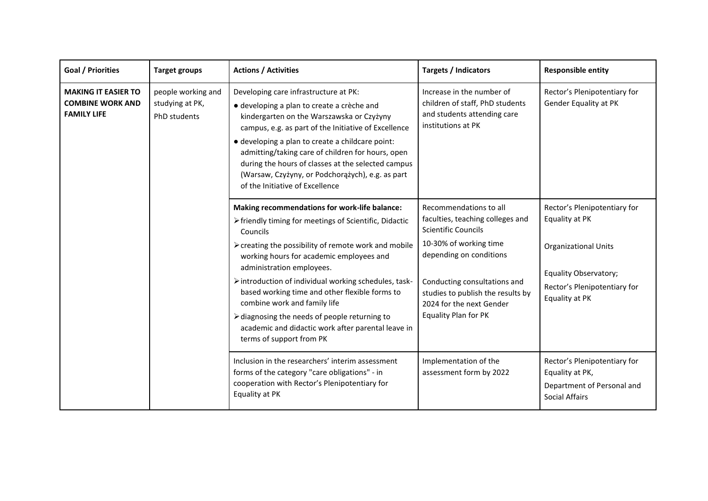| <b>Goal / Priorities</b>                                                    | <b>Target groups</b>                                  | <b>Actions / Activities</b>                                                                                                                                                                                                                                                                                                                                                                                                                                                                                                        | <b>Targets / Indicators</b>                                                                                                                                                                                                                                                   | <b>Responsible entity</b>                                                                                                                                       |
|-----------------------------------------------------------------------------|-------------------------------------------------------|------------------------------------------------------------------------------------------------------------------------------------------------------------------------------------------------------------------------------------------------------------------------------------------------------------------------------------------------------------------------------------------------------------------------------------------------------------------------------------------------------------------------------------|-------------------------------------------------------------------------------------------------------------------------------------------------------------------------------------------------------------------------------------------------------------------------------|-----------------------------------------------------------------------------------------------------------------------------------------------------------------|
| <b>MAKING IT EASIER TO</b><br><b>COMBINE WORK AND</b><br><b>FAMILY LIFE</b> | people working and<br>studying at PK,<br>PhD students | Developing care infrastructure at PK:<br>· developing a plan to create a crèche and<br>kindergarten on the Warszawska or Czyżyny<br>campus, e.g. as part of the Initiative of Excellence<br>· developing a plan to create a childcare point:<br>admitting/taking care of children for hours, open<br>during the hours of classes at the selected campus<br>(Warsaw, Czyżyny, or Podchorążych), e.g. as part<br>of the Initiative of Excellence                                                                                     | Increase in the number of<br>children of staff, PhD students<br>and students attending care<br>institutions at PK                                                                                                                                                             | Rector's Plenipotentiary for<br>Gender Equality at PK                                                                                                           |
|                                                                             |                                                       | Making recommendations for work-life balance:<br>> friendly timing for meetings of Scientific, Didactic<br>Councils<br>> creating the possibility of remote work and mobile<br>working hours for academic employees and<br>administration employees.<br>> introduction of individual working schedules, task-<br>based working time and other flexible forms to<br>combine work and family life<br>> diagnosing the needs of people returning to<br>academic and didactic work after parental leave in<br>terms of support from PK | Recommendations to all<br>faculties, teaching colleges and<br><b>Scientific Councils</b><br>10-30% of working time<br>depending on conditions<br>Conducting consultations and<br>studies to publish the results by<br>2024 for the next Gender<br><b>Equality Plan for PK</b> | Rector's Plenipotentiary for<br>Equality at PK<br><b>Organizational Units</b><br><b>Equality Observatory;</b><br>Rector's Plenipotentiary for<br>Equality at PK |
|                                                                             |                                                       | Inclusion in the researchers' interim assessment<br>forms of the category "care obligations" - in<br>cooperation with Rector's Plenipotentiary for<br>Equality at PK                                                                                                                                                                                                                                                                                                                                                               | Implementation of the<br>assessment form by 2022                                                                                                                                                                                                                              | Rector's Plenipotentiary for<br>Equality at PK,<br>Department of Personal and<br><b>Social Affairs</b>                                                          |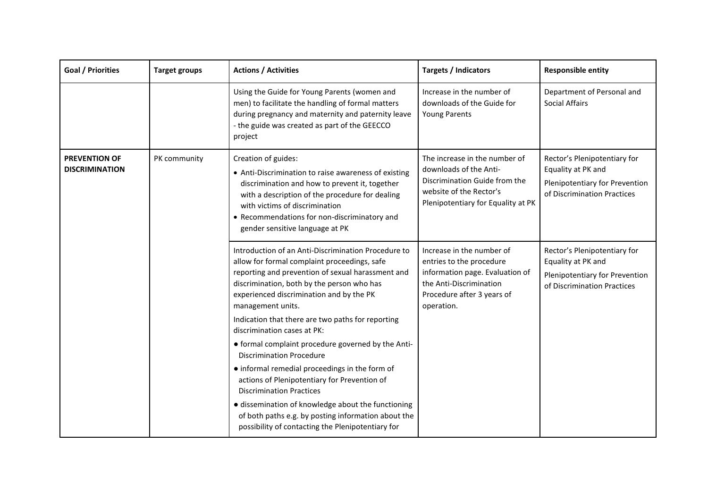| Goal / Priorities                             | <b>Target groups</b> | <b>Actions / Activities</b>                                                                                                                                                                                                                                                                                                                                                                                       | <b>Targets / Indicators</b>                                                                                                                                     | <b>Responsible entity</b>                                                                                           |
|-----------------------------------------------|----------------------|-------------------------------------------------------------------------------------------------------------------------------------------------------------------------------------------------------------------------------------------------------------------------------------------------------------------------------------------------------------------------------------------------------------------|-----------------------------------------------------------------------------------------------------------------------------------------------------------------|---------------------------------------------------------------------------------------------------------------------|
|                                               |                      | Using the Guide for Young Parents (women and<br>men) to facilitate the handling of formal matters<br>during pregnancy and maternity and paternity leave<br>- the guide was created as part of the GEECCO<br>project                                                                                                                                                                                               | Increase in the number of<br>downloads of the Guide for<br><b>Young Parents</b>                                                                                 | Department of Personal and<br><b>Social Affairs</b>                                                                 |
| <b>PREVENTION OF</b><br><b>DISCRIMINATION</b> | PK community         | Creation of guides:<br>• Anti-Discrimination to raise awareness of existing<br>discrimination and how to prevent it, together<br>with a description of the procedure for dealing<br>with victims of discrimination<br>• Recommendations for non-discriminatory and<br>gender sensitive language at PK                                                                                                             | The increase in the number of<br>downloads of the Anti-<br>Discrimination Guide from the<br>website of the Rector's<br>Plenipotentiary for Equality at PK       | Rector's Plenipotentiary for<br>Equality at PK and<br>Plenipotentiary for Prevention<br>of Discrimination Practices |
|                                               |                      | Introduction of an Anti-Discrimination Procedure to<br>allow for formal complaint proceedings, safe<br>reporting and prevention of sexual harassment and<br>discrimination, both by the person who has<br>experienced discrimination and by the PK<br>management units.<br>Indication that there are two paths for reporting<br>discrimination cases at PK:<br>• formal complaint procedure governed by the Anti- | Increase in the number of<br>entries to the procedure<br>information page. Evaluation of<br>the Anti-Discrimination<br>Procedure after 3 years of<br>operation. | Rector's Plenipotentiary for<br>Equality at PK and<br>Plenipotentiary for Prevention<br>of Discrimination Practices |
|                                               |                      | <b>Discrimination Procedure</b><br>• informal remedial proceedings in the form of<br>actions of Plenipotentiary for Prevention of<br><b>Discrimination Practices</b><br>· dissemination of knowledge about the functioning<br>of both paths e.g. by posting information about the<br>possibility of contacting the Plenipotentiary for                                                                            |                                                                                                                                                                 |                                                                                                                     |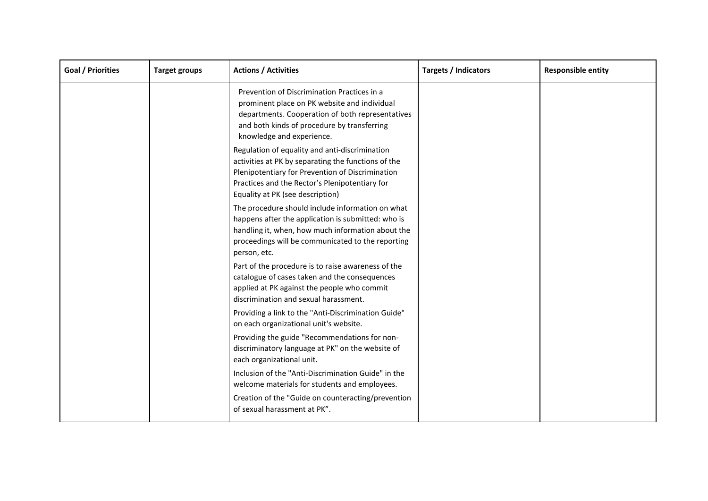| Goal / Priorities | <b>Target groups</b> | <b>Actions / Activities</b>                                                                                                                                                                                                                     | Targets / Indicators | <b>Responsible entity</b> |
|-------------------|----------------------|-------------------------------------------------------------------------------------------------------------------------------------------------------------------------------------------------------------------------------------------------|----------------------|---------------------------|
|                   |                      | Prevention of Discrimination Practices in a<br>prominent place on PK website and individual<br>departments. Cooperation of both representatives<br>and both kinds of procedure by transferring<br>knowledge and experience.                     |                      |                           |
|                   |                      | Regulation of equality and anti-discrimination<br>activities at PK by separating the functions of the<br>Plenipotentiary for Prevention of Discrimination<br>Practices and the Rector's Plenipotentiary for<br>Equality at PK (see description) |                      |                           |
|                   |                      | The procedure should include information on what<br>happens after the application is submitted: who is<br>handling it, when, how much information about the<br>proceedings will be communicated to the reporting<br>person, etc.                |                      |                           |
|                   |                      | Part of the procedure is to raise awareness of the<br>catalogue of cases taken and the consequences<br>applied at PK against the people who commit<br>discrimination and sexual harassment.                                                     |                      |                           |
|                   |                      | Providing a link to the "Anti-Discrimination Guide"<br>on each organizational unit's website.                                                                                                                                                   |                      |                           |
|                   |                      | Providing the guide "Recommendations for non-<br>discriminatory language at PK" on the website of<br>each organizational unit.                                                                                                                  |                      |                           |
|                   |                      | Inclusion of the "Anti-Discrimination Guide" in the<br>welcome materials for students and employees.                                                                                                                                            |                      |                           |
|                   |                      | Creation of the "Guide on counteracting/prevention<br>of sexual harassment at PK".                                                                                                                                                              |                      |                           |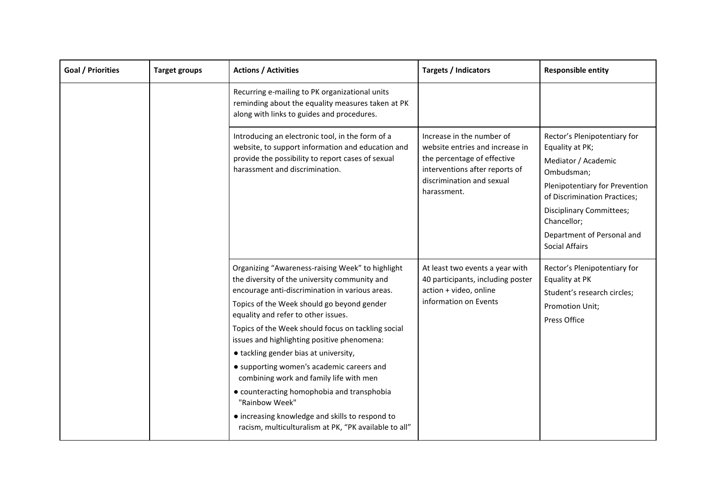| Goal / Priorities | <b>Target groups</b> | <b>Actions / Activities</b>                                                                                                                                                                                                                                                                                                                                                                                                                                                                                                                                                                                                                                 | Targets / Indicators                                                                                                                                                      | <b>Responsible entity</b>                                                                                                                                                                                                                                       |
|-------------------|----------------------|-------------------------------------------------------------------------------------------------------------------------------------------------------------------------------------------------------------------------------------------------------------------------------------------------------------------------------------------------------------------------------------------------------------------------------------------------------------------------------------------------------------------------------------------------------------------------------------------------------------------------------------------------------------|---------------------------------------------------------------------------------------------------------------------------------------------------------------------------|-----------------------------------------------------------------------------------------------------------------------------------------------------------------------------------------------------------------------------------------------------------------|
|                   |                      | Recurring e-mailing to PK organizational units<br>reminding about the equality measures taken at PK<br>along with links to guides and procedures.                                                                                                                                                                                                                                                                                                                                                                                                                                                                                                           |                                                                                                                                                                           |                                                                                                                                                                                                                                                                 |
|                   |                      | Introducing an electronic tool, in the form of a<br>website, to support information and education and<br>provide the possibility to report cases of sexual<br>harassment and discrimination.                                                                                                                                                                                                                                                                                                                                                                                                                                                                | Increase in the number of<br>website entries and increase in<br>the percentage of effective<br>interventions after reports of<br>discrimination and sexual<br>harassment. | Rector's Plenipotentiary for<br>Equality at PK;<br>Mediator / Academic<br>Ombudsman;<br>Plenipotentiary for Prevention<br>of Discrimination Practices;<br><b>Disciplinary Committees;</b><br>Chancellor;<br>Department of Personal and<br><b>Social Affairs</b> |
|                   |                      | Organizing "Awareness-raising Week" to highlight<br>the diversity of the university community and<br>encourage anti-discrimination in various areas.<br>Topics of the Week should go beyond gender<br>equality and refer to other issues.<br>Topics of the Week should focus on tackling social<br>issues and highlighting positive phenomena:<br>• tackling gender bias at university,<br>• supporting women's academic careers and<br>combining work and family life with men<br>• counteracting homophobia and transphobia<br>"Rainbow Week"<br>• increasing knowledge and skills to respond to<br>racism, multiculturalism at PK, "PK available to all" | At least two events a year with<br>40 participants, including poster<br>action + video, online<br>information on Events                                                   | Rector's Plenipotentiary for<br>Equality at PK<br>Student's research circles;<br>Promotion Unit;<br>Press Office                                                                                                                                                |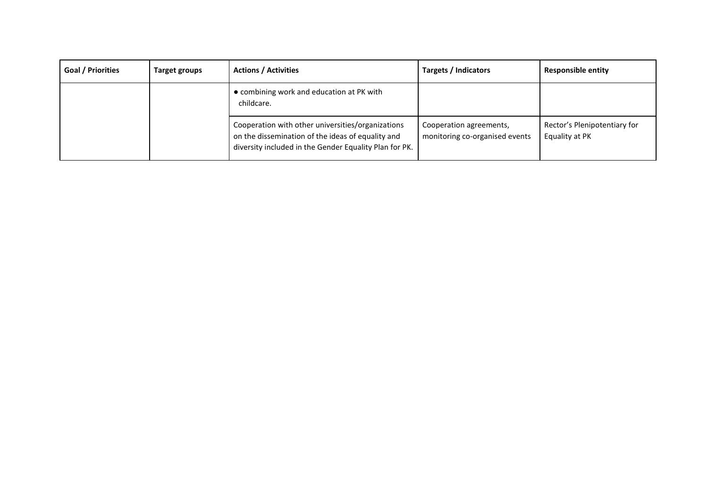| Goal / Priorities | Target groups | <b>Actions / Activities</b>                                                                                                                                      | <b>Targets / Indicators</b>                               | <b>Responsible entity</b>                      |
|-------------------|---------------|------------------------------------------------------------------------------------------------------------------------------------------------------------------|-----------------------------------------------------------|------------------------------------------------|
|                   |               | • combining work and education at PK with<br>childcare.                                                                                                          |                                                           |                                                |
|                   |               | Cooperation with other universities/organizations<br>on the dissemination of the ideas of equality and<br>diversity included in the Gender Equality Plan for PK. | Cooperation agreements,<br>monitoring co-organised events | Rector's Plenipotentiary for<br>Equality at PK |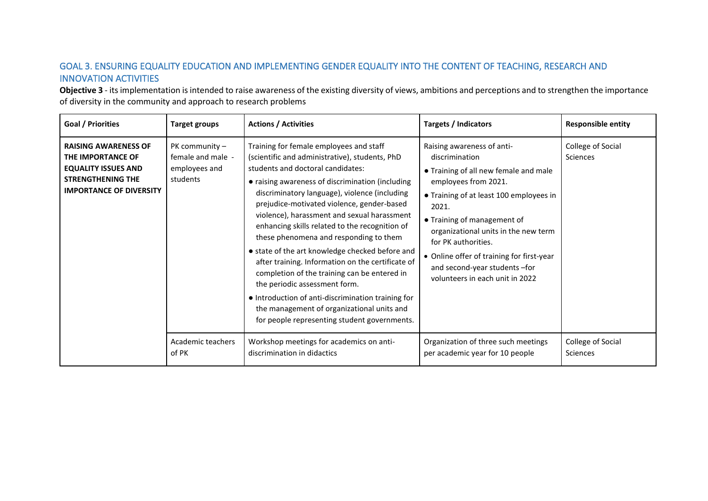# GOAL 3. ENSURING EQUALITY EDUCATION AND IMPLEMENTING GENDER EQUALITY INTO THE CONTENT OF TEACHING, RESEARCH AND INNOVATION ACTIVITIES

**Objective 3** - its implementation is intended to raise awareness of the existing diversity of views, ambitions and perceptions and to strengthen the importance of diversity in the community and approach to research problems

<span id="page-23-0"></span>

| <b>Goal / Priorities</b>                                                                                                                     | <b>Target groups</b>                                               | <b>Actions / Activities</b>                                                                                                                                                                                                                                                                                                                                                                                                                                                                                                                                                                                                                                                                                                                                               | Targets / Indicators                                                                                                                                                                                                                                                                                                                                                             | <b>Responsible entity</b>     |
|----------------------------------------------------------------------------------------------------------------------------------------------|--------------------------------------------------------------------|---------------------------------------------------------------------------------------------------------------------------------------------------------------------------------------------------------------------------------------------------------------------------------------------------------------------------------------------------------------------------------------------------------------------------------------------------------------------------------------------------------------------------------------------------------------------------------------------------------------------------------------------------------------------------------------------------------------------------------------------------------------------------|----------------------------------------------------------------------------------------------------------------------------------------------------------------------------------------------------------------------------------------------------------------------------------------------------------------------------------------------------------------------------------|-------------------------------|
| <b>RAISING AWARENESS OF</b><br>THE IMPORTANCE OF<br><b>EQUALITY ISSUES AND</b><br><b>STRENGTHENING THE</b><br><b>IMPORTANCE OF DIVERSITY</b> | PK community $-$<br>female and male -<br>employees and<br>students | Training for female employees and staff<br>(scientific and administrative), students, PhD<br>students and doctoral candidates:<br>• raising awareness of discrimination (including<br>discriminatory language), violence (including<br>prejudice-motivated violence, gender-based<br>violence), harassment and sexual harassment<br>enhancing skills related to the recognition of<br>these phenomena and responding to them<br>• state of the art knowledge checked before and<br>after training. Information on the certificate of<br>completion of the training can be entered in<br>the periodic assessment form.<br>• Introduction of anti-discrimination training for<br>the management of organizational units and<br>for people representing student governments. | Raising awareness of anti-<br>discrimination<br>• Training of all new female and male<br>employees from 2021.<br>• Training of at least 100 employees in<br>2021.<br>• Training of management of<br>organizational units in the new term<br>for PK authorities.<br>• Online offer of training for first-year<br>and second-year students -for<br>volunteers in each unit in 2022 | College of Social<br>Sciences |
|                                                                                                                                              | Academic teachers<br>of PK                                         | Workshop meetings for academics on anti-<br>discrimination in didactics                                                                                                                                                                                                                                                                                                                                                                                                                                                                                                                                                                                                                                                                                                   | Organization of three such meetings<br>per academic year for 10 people                                                                                                                                                                                                                                                                                                           | College of Social<br>Sciences |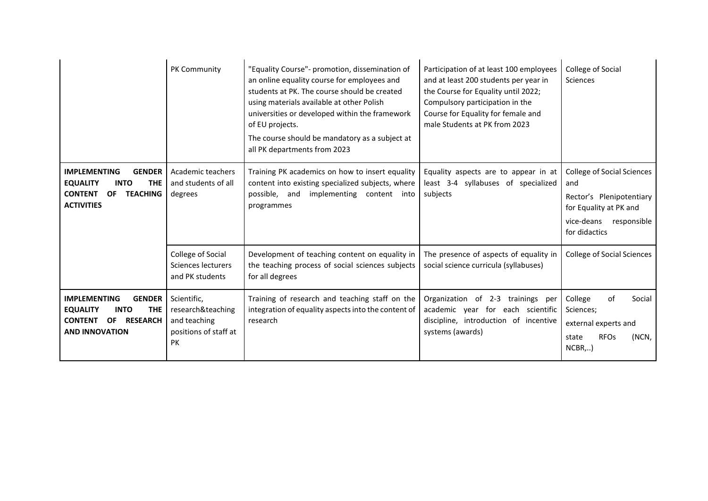|                                                                                                                                                          | PK Community                                                                           | "Equality Course"- promotion, dissemination of<br>an online equality course for employees and<br>students at PK. The course should be created<br>using materials available at other Polish<br>universities or developed within the framework<br>of EU projects.<br>The course should be mandatory as a subject at<br>all PK departments from 2023 | Participation of at least 100 employees<br>and at least 200 students per year in<br>the Course for Equality until 2022;<br>Compulsory participation in the<br>Course for Equality for female and<br>male Students at PK from 2023 | College of Social<br>Sciences                                                                                                                |
|----------------------------------------------------------------------------------------------------------------------------------------------------------|----------------------------------------------------------------------------------------|---------------------------------------------------------------------------------------------------------------------------------------------------------------------------------------------------------------------------------------------------------------------------------------------------------------------------------------------------|-----------------------------------------------------------------------------------------------------------------------------------------------------------------------------------------------------------------------------------|----------------------------------------------------------------------------------------------------------------------------------------------|
| <b>IMPLEMENTING</b><br><b>GENDER</b><br><b>EQUALITY</b><br><b>INTO</b><br><b>THE</b><br><b>CONTENT</b><br><b>TEACHING</b><br>OF.<br><b>ACTIVITIES</b>    | Academic teachers<br>and students of all<br>degrees                                    | Training PK academics on how to insert equality<br>content into existing specialized subjects, where<br>possible, and implementing content into<br>programmes                                                                                                                                                                                     | Equality aspects are to appear in at<br>least 3-4 syllabuses of specialized<br>subjects                                                                                                                                           | <b>College of Social Sciences</b><br>and<br>Rector's Plenipotentiary<br>for Equality at PK and<br>vice-deans<br>responsible<br>for didactics |
|                                                                                                                                                          | College of Social<br>Sciences lecturers<br>and PK students                             | Development of teaching content on equality in<br>the teaching process of social sciences subjects<br>for all degrees                                                                                                                                                                                                                             | The presence of aspects of equality in<br>social science curricula (syllabuses)                                                                                                                                                   | <b>College of Social Sciences</b>                                                                                                            |
| <b>IMPLEMENTING</b><br><b>GENDER</b><br><b>INTO</b><br><b>THE</b><br><b>EQUALITY</b><br><b>CONTENT</b><br>OF<br><b>RESEARCH</b><br><b>AND INNOVATION</b> | Scientific,<br>research&teaching<br>and teaching<br>positions of staff at<br><b>PK</b> | Training of research and teaching staff on the<br>integration of equality aspects into the content of<br>research                                                                                                                                                                                                                                 | Organization of 2-3 trainings per<br>academic year for each scientific<br>discipline, introduction of incentive<br>systems (awards)                                                                                               | College<br>of<br>Social<br>Sciences;<br>external experts and<br><b>RFOs</b><br>(NCN,<br>state<br>$NCBR$ ,)                                   |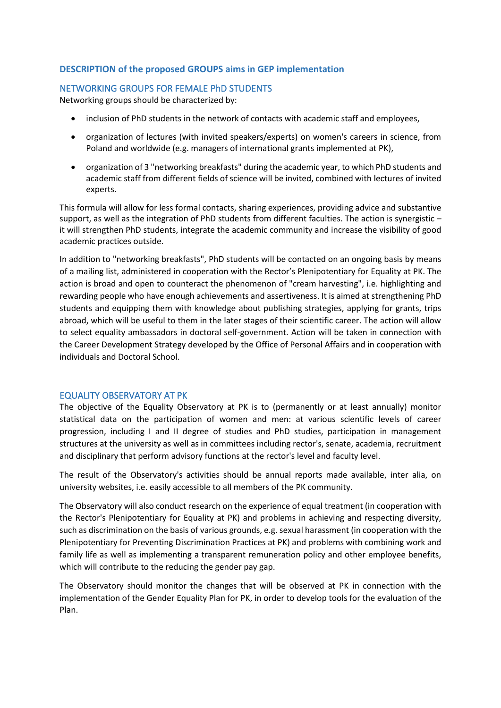# <span id="page-25-0"></span>**DESCRIPTION of the proposed GROUPS aims in GEP implementation**

# <span id="page-25-1"></span>NETWORKING GROUPS FOR FEMALE PhD STUDENTS

Networking groups should be characterized by:

- inclusion of PhD students in the network of contacts with academic staff and employees,
- organization of lectures (with invited speakers/experts) on women's careers in science, from Poland and worldwide (e.g. managers of international grants implemented at PK),
- organization of 3 "networking breakfasts" during the academic year, to which PhD students and academic staff from different fields of science will be invited, combined with lectures of invited experts.

This formula will allow for less formal contacts, sharing experiences, providing advice and substantive support, as well as the integration of PhD students from different faculties. The action is synergistic – it will strengthen PhD students, integrate the academic community and increase the visibility of good academic practices outside.

In addition to "networking breakfasts", PhD students will be contacted on an ongoing basis by means of a mailing list, administered in cooperation with the Rector's Plenipotentiary for Equality at PK. The action is broad and open to counteract the phenomenon of "cream harvesting", i.e. highlighting and rewarding people who have enough achievements and assertiveness. It is aimed at strengthening PhD students and equipping them with knowledge about publishing strategies, applying for grants, trips abroad, which will be useful to them in the later stages of their scientific career. The action will allow to select equality ambassadors in doctoral self-government. Action will be taken in connection with the Career Development Strategy developed by the Office of Personal Affairs and in cooperation with individuals and Doctoral School.

## <span id="page-25-2"></span>EQUALITY OBSERVATORY AT PK

The objective of the Equality Observatory at PK is to (permanently or at least annually) monitor statistical data on the participation of women and men: at various scientific levels of career progression, including I and II degree of studies and PhD studies, participation in management structures at the university as well as in committees including rector's, senate, academia, recruitment and disciplinary that perform advisory functions at the rector's level and faculty level.

The result of the Observatory's activities should be annual reports made available, inter alia, on university websites, i.e. easily accessible to all members of the PK community.

The Observatory will also conduct research on the experience of equal treatment (in cooperation with the Rector's Plenipotentiary for Equality at PK) and problems in achieving and respecting diversity, such as discrimination on the basis of various grounds, e.g. sexual harassment (in cooperation with the Plenipotentiary for Preventing Discrimination Practices at PK) and problems with combining work and family life as well as implementing a transparent remuneration policy and other employee benefits, which will contribute to the reducing the gender pay gap.

The Observatory should monitor the changes that will be observed at PK in connection with the implementation of the Gender Equality Plan for PK, in order to develop tools for the evaluation of the Plan.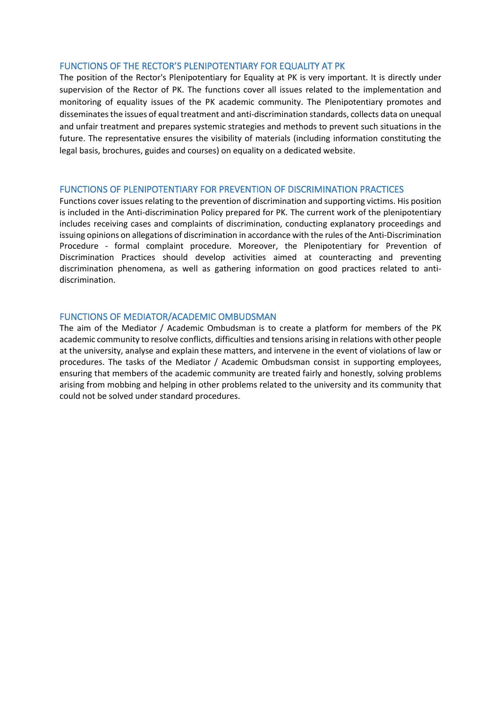#### <span id="page-26-0"></span>FUNCTIONS OF THE RECTOR'S PLENIPOTENTIARY FOR EQUALITY AT PK

The position of the Rector's Plenipotentiary for Equality at PK is very important. It is directly under supervision of the Rector of PK. The functions cover all issues related to the implementation and monitoring of equality issues of the PK academic community. The Plenipotentiary promotes and disseminates the issues of equal treatment and anti-discrimination standards, collects data on unequal and unfair treatment and prepares systemic strategies and methods to prevent such situations in the future. The representative ensures the visibility of materials (including information constituting the legal basis, brochures, guides and courses) on equality on a dedicated website.

## <span id="page-26-1"></span>FUNCTIONS OF PLENIPOTENTIARY FOR PREVENTION OF DISCRIMINATION PRACTICES

Functions cover issues relating to the prevention of discrimination and supporting victims. His position is included in the Anti-discrimination Policy prepared for PK. The current work of the plenipotentiary includes receiving cases and complaints of discrimination, conducting explanatory proceedings and issuing opinions on allegations of discrimination in accordance with the rules of the Anti-Discrimination Procedure - formal complaint procedure. Moreover, the Plenipotentiary for Prevention of Discrimination Practices should develop activities aimed at counteracting and preventing discrimination phenomena, as well as gathering information on good practices related to antidiscrimination.

## <span id="page-26-2"></span>FUNCTIONS OF MEDIATOR/ACADEMIC OMBUDSMAN

The aim of the Mediator / Academic Ombudsman is to create a platform for members of the PK academic community to resolve conflicts, difficulties and tensions arising in relations with other people at the university, analyse and explain these matters, and intervene in the event of violations of law or procedures. The tasks of the Mediator / Academic Ombudsman consist in supporting employees, ensuring that members of the academic community are treated fairly and honestly, solving problems arising from mobbing and helping in other problems related to the university and its community that could not be solved under standard procedures.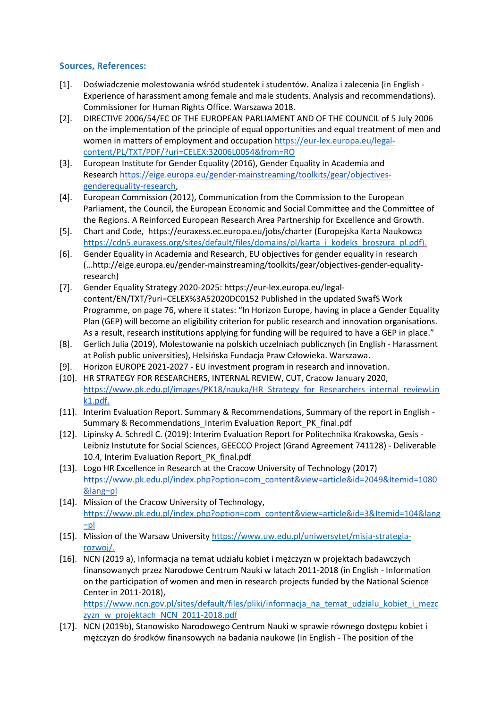## <span id="page-27-0"></span>**Sources, References:**

- [1]. Doświadczenie molestowania wśród studentek i studentów. Analiza i zalecenia (in English Experience of harassment among female and male students. Analysis and recommendations). Commissioner for Human Rights Office. Warszawa 2018.
- [2]. DIRECTIVE 2006/54/EC OF THE EUROPEAN PARLIAMENT AND OF THE COUNCIL of 5 July 2006 on the implementation of the principle of equal opportunities and equal treatment of men and women in matters of employment and occupation [https://eur-lex.europa.eu/legal](https://eur-lex.europa.eu/legal-content/PL/TXT/PDF/?uri=CELEX:32006L0054&from=RO)[content/PL/TXT/PDF/?uri=CELEX:32006L0054&from=RO](https://eur-lex.europa.eu/legal-content/PL/TXT/PDF/?uri=CELEX:32006L0054&from=RO)
- [3]. European Institute for Gender Equality (2016), Gender Equality in Academia and Research [https://eige.europa.eu/gender-mainstreaming/toolkits/gear/objectives](https://eige.europa.eu/gender-mainstreaming/toolkits/gear/objectives-genderequality-research)[genderequality-research,](https://eige.europa.eu/gender-mainstreaming/toolkits/gear/objectives-genderequality-research)
- [4]. European Commission (2012), Communication from the Commission to the European Parliament, the Council, the European Economic and Social Committee and the Committee of the Regions. A Reinforced European Research Area Partnership for Excellence and Growth.
- [5]. Chart and Code, https://euraxess.ec.europa.eu/jobs/charter (Europejska Karta Naukowca [https://cdn5.euraxess.org/sites/default/files/domains/pl/karta\\_i\\_kodeks\\_broszura\\_pl.pdf\)](https://cdn5.euraxess.org/sites/default/files/domains/pl/karta_i_kodeks_broszura_pl.pdf).
- [6]. Gender Equality in Academia and Research, EU objectives for gender equality in research (…http://eige.europa.eu/gender-mainstreaming/toolkits/gear/objectives-gender-equalityresearch)
- [7]. Gender Equality Strategy 2020-2025: https://eur-lex.europa.eu/legalcontent/EN/TXT/?uri=CELEX%3A52020DC0152 Published in the updated SwafS Work Programme, on page 76, where it states: "In Horizon Europe, having in place a Gender Equality Plan (GEP) will become an eligibility criterion for public research and innovation organisations. As a result, research institutions applying for funding will be required to have a GEP in place."
- [8]. Gerlich Julia (2019), Molestowanie na polskich uczelniach publicznych (in English Harassment at Polish public universities), Helsińska Fundacja Praw Człowieka. Warszawa.
- [9]. Horizon EUROPE 2021-2027 EU investment program in research and innovation.
- [10]. HR STRATEGY FOR RESEARCHERS, INTERNAL REVIEW, CUT, Cracow January 2020, [https://www.pk.edu.pl/images/PK18/nauka/HR\\_Strategy\\_for\\_Researchers\\_internal\\_reviewLin](https://www.pk.edu.pl/images/PK18/nauka/HR_Strategy_for_Researchers_internal_reviewLink1.pdf) [k1.pdf.](https://www.pk.edu.pl/images/PK18/nauka/HR_Strategy_for_Researchers_internal_reviewLink1.pdf)
- [11]. Interim Evaluation Report. Summary & Recommendations, Summary of the report in English Summary & Recommendations Interim Evaluation Report PK final.pdf
- [12]. Lipinsky A. Schredl C. (2019): Interim Evaluation Report for Politechnika Krakowska, Gesis Leibniz Instutute for Social Sciences, GEECCO Project (Grand Agreement 741128) - Deliverable 10.4, Interim Evaluation Report PK final.pdf
- [13]. Logo HR Excellence in Research at the Cracow University of Technology (2017) [https://www.pk.edu.pl/index.php?option=com\\_content&view=article&id=2049&Itemid=1080](https://www.pk.edu.pl/index.php?option=com_content&view=article&id=2049&Itemid=1080&lang=pl) [&lang=pl](https://www.pk.edu.pl/index.php?option=com_content&view=article&id=2049&Itemid=1080&lang=pl)
- [14]. Mission of the Cracow University of Technology, [https://www.pk.edu.pl/index.php?option=com\\_content&view=article&id=3&Itemid=104&lang](https://www.pk.edu.pl/index.php?option=com_content&view=article&id=3&Itemid=104&lang=pl) [=pl](https://www.pk.edu.pl/index.php?option=com_content&view=article&id=3&Itemid=104&lang=pl)
- [15]. Mission of the Warsaw University [https://www.uw.edu.pl/uniwersytet/misja-strategia](https://www.uw.edu.pl/uniwersytet/misja-strategia-rozwoj/)[rozwoj/.](https://www.uw.edu.pl/uniwersytet/misja-strategia-rozwoj/)
- [16]. NCN (2019 a), Informacja na temat udziału kobiet i mężczyzn w projektach badawczych finansowanych przez Narodowe Centrum Nauki w latach 2011-2018 (in English - Information on the participation of women and men in research projects funded by the National Science Center in 2011-2018),

[https://www.ncn.gov.pl/sites/default/files/pliki/informacja\\_na\\_temat\\_udzialu\\_kobiet\\_i\\_mezc](https://www.ncn.gov.pl/sites/default/files/pliki/informacja_na_temat_udzialu_kobiet_i_mezczyzn_w_projektach_NCN_2011-2018.pdf) [zyzn\\_w\\_projektach\\_NCN\\_2011-2018.pdf](https://www.ncn.gov.pl/sites/default/files/pliki/informacja_na_temat_udzialu_kobiet_i_mezczyzn_w_projektach_NCN_2011-2018.pdf)

[17]. NCN (2019b), Stanowisko Narodowego Centrum Nauki w sprawie równego dostępu kobiet i mężczyzn do środków finansowych na badania naukowe (in English - The position of the